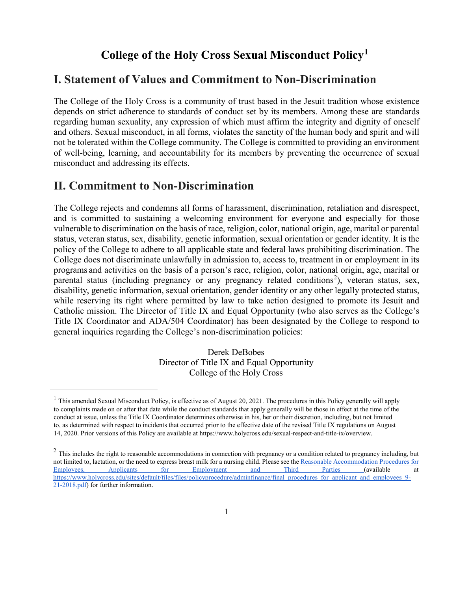## **College of the Holy Cross Sexual Misconduct Policy[1](#page-0-0)**

## **I. Statement of Values and Commitment to Non-Discrimination**

The College of the Holy Cross is a community of trust based in the Jesuit tradition whose existence depends on strict adherence to standards of conduct set by its members. Among these are standards regarding human sexuality, any expression of which must affirm the integrity and dignity of oneself and others. Sexual misconduct, in all forms, violates the sanctity of the human body and spirit and will not be tolerated within the College community. The College is committed to providing an environment of well-being, learning, and accountability for its members by preventing the occurrence of sexual misconduct and addressing its effects.

## **II. Commitment to Non-Discrimination**

<span id="page-0-0"></span> $\overline{a}$ 

The College rejects and condemns all forms of harassment, discrimination, retaliation and disrespect, and is committed to sustaining a welcoming environment for everyone and especially for those vulnerable to discrimination on the basis of race, religion, color, national origin, age, marital or parental status, veteran status, sex, disability, genetic information, sexual orientation or gender identity. It is the policy of the College to adhere to all applicable state and federal laws prohibiting discrimination. The College does not discriminate unlawfully in admission to, access to, treatment in or employment in its programs and activities on the basis of a person's race, religion, color, national origin, age, marital or parental status (including pregnancy or any pregnancy related conditions<sup>[2](#page-0-1)</sup>), veteran status, sex, disability, genetic information, sexual orientation, gender identity or any other legally protected status, while reserving its right where permitted by law to take action designed to promote its Jesuit and Catholic mission. The Director of Title IX and Equal Opportunity (who also serves as the College's Title IX Coordinator and ADA/504 Coordinator) has been designated by the College to respond to general inquiries regarding the College's non-discrimination policies:

> Derek DeBobes Director of Title IX and Equal Opportunity College of the Holy Cross

 $<sup>1</sup>$  This amended Sexual Misconduct Policy, is effective as of August 20, 2021. The procedures in this Policy generally will apply</sup> to complaints made on or after that date while the conduct standards that apply generally will be those in effect at the time of the conduct at issue, unless the Title IX Coordinator determines otherwise in his, her or their discretion, including, but not limited to, as determined with respect to incidents that occurred prior to the effective date of the revised Title IX regulations on August 14, 2020. Prior versions of this Policy are available at https:[//www.holycross.edu/sexual-respect-and-title-ix/overview.](http://www.holycross.edu/sexual-respect-and-title-ix/overview)

<span id="page-0-1"></span> $2$  This includes the right to reasonable accommodations in connection with pregnancy or a condition related to pregnancy including, but not limited to, lactation, or the need to express breast milk for a nursing child. Please see the [Reasonable Accommodation Procedures for](https://www.holycross.edu/sites/default/files/files/policyprocedure/adminfinance/final_procedures_for_applicant_and_employees_9-21-2018.pdf)  [Employees, Applicants for Employment and Third Parties \(](https://www.holycross.edu/sites/default/files/files/policyprocedure/adminfinance/final_procedures_for_applicant_and_employees_9-21-2018.pdf)available at [https://www.holycross.edu/sites/default/files/files/policyprocedure/adminfinance/final\\_procedures\\_for\\_applicant\\_and\\_employees\\_9-](https://www.holycross.edu/sites/default/files/files/policyprocedure/adminfinance/final_procedures_for_applicant_and_employees_9-21-2018.pdf) [21-2018.pdf\)](https://www.holycross.edu/sites/default/files/files/policyprocedure/adminfinance/final_procedures_for_applicant_and_employees_9-21-2018.pdf) for further information.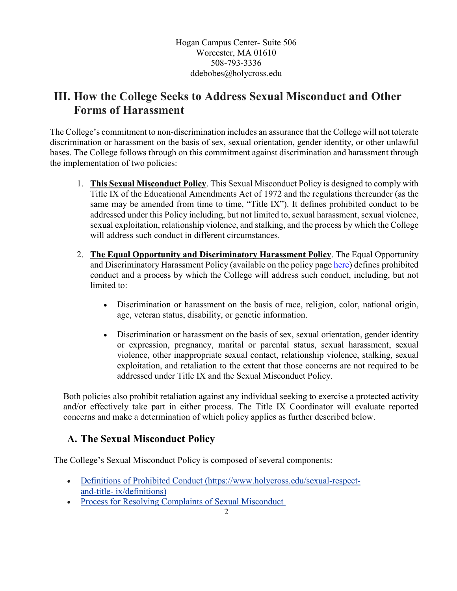Hogan Campus Center- Suite 506 Worcester, MA 01610 508-793-3336 [ddebobes@holycross.edu](mailto:ddebobes@holycross.edu)

# **III. How the College Seeks to Address Sexual Misconduct and Other Forms of Harassment**

The College's commitment to non-discrimination includes an assurance that the College will not tolerate discrimination or harassment on the basis of sex, sexual orientation, gender identity, or other unlawful bases. The College follows through on this commitment against discrimination and harassment through the implementation of two policies:

- 1. **This Sexual Misconduct Policy**. This Sexual Misconduct Policy is designed to comply with Title IX of the Educational Amendments Act of 1972 and the regulations thereunder (as the same may be amended from time to time, "Title IX"). It defines prohibited conduct to be addressed under this Policy including, but not limited to, sexual harassment, sexual violence, sexual exploitation, relationship violence, and stalking, and the process by which the College will address such conduct in different circumstances.
- 2. **The Equal Opportunity and Discriminatory Harassment Policy**. The Equal Opportunity and Discriminatory Harassment Policy (available on the policy page [here\)](https://www.holycross.edu/policies-procedures/index) defines prohibited conduct and a process by which the College will address such conduct, including, but not limited to:
	- Discrimination or harassment on the basis of race, religion, color, national origin, age, veteran status, disability, or genetic information.
	- Discrimination or harassment on the basis of sex, sexual orientation, gender identity or expression, pregnancy, marital or parental status, sexual harassment, sexual violence, other inappropriate sexual contact, relationship violence, stalking, sexual exploitation, and retaliation to the extent that those concerns are not required to be addressed under Title IX and the Sexual Misconduct Policy.

Both policies also prohibit retaliation against any individual seeking to exercise a protected activity and/or effectively take part in either process. The Title IX Coordinator will evaluate reported concerns and make a determination of which policy applies as further described below.

## **A. The Sexual Misconduct Policy**

The College's Sexual Misconduct Policy is composed of several components:

- Definitions of Prohibited Conduct (https:/[/www.holycross.edu/sexual-respect](http://www.holycross.edu/sexual-respect-and-title-)[and-title-](http://www.holycross.edu/sexual-respect-and-title-) ix/definitions)
- Process for Resolving Complaints of Sexual Misconduct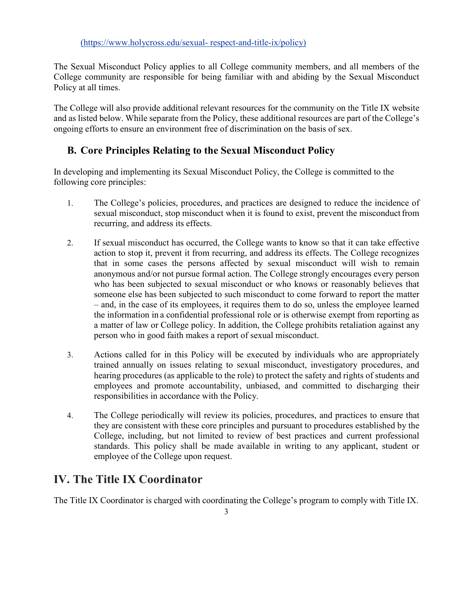The Sexual Misconduct Policy applies to all College community members, and all members of the College community are responsible for being familiar with and abiding by the Sexual Misconduct Policy at all times.

The College will also provide additional relevant resources for the community on the Title IX website and as listed below. While separate from the Policy, these additional resources are part of the College's ongoing efforts to ensure an environment free of discrimination on the basis of sex.

## **B. Core Principles Relating to the Sexual Misconduct Policy**

In developing and implementing its Sexual Misconduct Policy, the College is committed to the following core principles:

- 1. The College's policies, procedures, and practices are designed to reduce the incidence of sexual misconduct, stop misconduct when it is found to exist, prevent the misconduct from recurring, and address its effects.
- 2. If sexual misconduct has occurred, the College wants to know so that it can take effective action to stop it, prevent it from recurring, and address its effects. The College recognizes that in some cases the persons affected by sexual misconduct will wish to remain anonymous and/or not pursue formal action. The College strongly encourages every person who has been subjected to sexual misconduct or who knows or reasonably believes that someone else has been subjected to such misconduct to come forward to report the matter – and, in the case of its employees, it requires them to do so, unless the employee learned the information in a confidential professional role or is otherwise exempt from reporting as a matter of law or College policy. In addition, the College prohibits retaliation against any person who in good faith makes a report of sexual misconduct.
- 3. Actions called for in this Policy will be executed by individuals who are appropriately trained annually on issues relating to sexual misconduct, investigatory procedures, and hearing procedures (as applicable to the role) to protect the safety and rights of students and employees and promote accountability, unbiased, and committed to discharging their responsibilities in accordance with the Policy.
- 4. The College periodically will review its policies, procedures, and practices to ensure that they are consistent with these core principles and pursuant to procedures established by the College, including, but not limited to review of best practices and current professional standards. This policy shall be made available in writing to any applicant, student or employee of the College upon request.

# **IV. The Title IX Coordinator**

The Title IX Coordinator is charged with coordinating the College's program to comply with Title IX.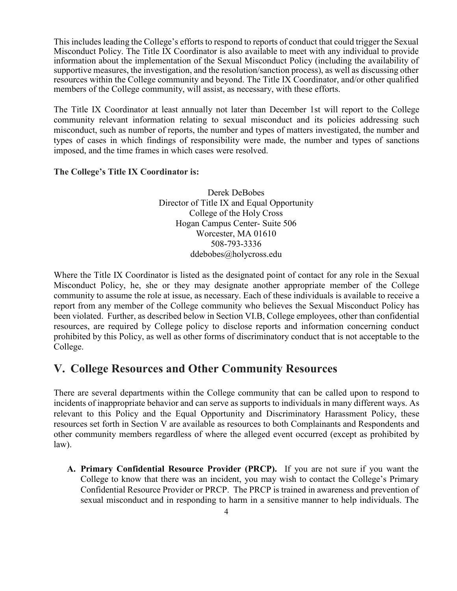This includes leading the College's efforts to respond to reports of conduct that could trigger the Sexual Misconduct Policy. The Title IX Coordinator is also available to meet with any individual to provide information about the implementation of the Sexual Misconduct Policy (including the availability of supportive measures, the investigation, and the resolution/sanction process), as well as discussing other resources within the College community and beyond. The Title IX Coordinator, and/or other qualified members of the College community, will assist, as necessary, with these efforts.

The Title IX Coordinator at least annually not later than December 1st will report to the College community relevant information relating to sexual misconduct and its policies addressing such misconduct, such as number of reports, the number and types of matters investigated, the number and types of cases in which findings of responsibility were made, the number and types of sanctions imposed, and the time frames in which cases were resolved.

### **The College's Title IX Coordinator is:**

Derek DeBobes Director of Title IX and Equal Opportunity College of the Holy Cross Hogan Campus Center- Suite 506 Worcester, MA 01610 508-793-3336 [ddebobes@holycross.edu](mailto:ddebobes@holycross.edu)

Where the Title IX Coordinator is listed as the designated point of contact for any role in the Sexual Misconduct Policy, he, she or they may designate another appropriate member of the College community to assume the role at issue, as necessary. Each of these individuals is available to receive a report from any member of the College community who believes the Sexual Misconduct Policy has been violated. Further, as described below in Section VI.B, College employees, other than confidential resources, are required by College policy to disclose reports and information concerning conduct prohibited by this Policy, as well as other forms of discriminatory conduct that is not acceptable to the College.

## **V. College Resources and Other Community Resources**

There are several departments within the College community that can be called upon to respond to incidents of inappropriate behavior and can serve as supports to individuals in many different ways. As relevant to this Policy and the Equal Opportunity and Discriminatory Harassment Policy, these resources set forth in Section V are available as resources to both Complainants and Respondents and other community members regardless of where the alleged event occurred (except as prohibited by law).

**A. Primary Confidential Resource Provider (PRCP).** If you are not sure if you want the College to know that there was an incident, you may wish to contact the College's Primary Confidential Resource Provider or PRCP. The PRCP is trained in awareness and prevention of sexual misconduct and in responding to harm in a sensitive manner to help individuals. The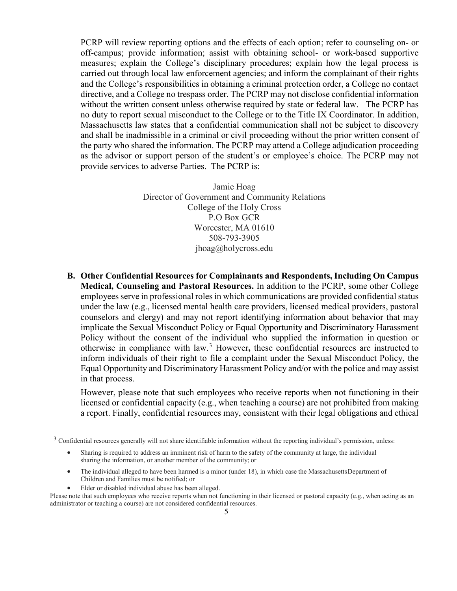PCRP will review reporting options and the effects of each option; refer to counseling on- or off-campus; provide information; assist with obtaining school- or work-based supportive measures; explain the College's disciplinary procedures; explain how the legal process is carried out through local law enforcement agencies; and inform the complainant of their rights and the College's responsibilities in obtaining a criminal protection order, a College no contact directive, and a College no trespass order. The PCRP may not disclose confidential information without the written consent unless otherwise required by state or federal law. The PCRP has no duty to report sexual misconduct to the College or to the Title IX Coordinator. In addition, Massachusetts law states that a confidential communication shall not be subject to discovery and shall be inadmissible in a criminal or civil proceeding without the prior written consent of the party who shared the information. The PCRP may attend a College adjudication proceeding as the advisor or support person of the student's or employee's choice. The PCRP may not provide services to adverse Parties. The PCRP is:

> Jamie Hoag Director of Government and Community Relations College of the Holy Cross P.O Box GCR Worcester, MA 01610 508-793-3905 [jhoag@holycross.edu](mailto:jhoag@holycross.edu)

**B. Other Confidential Resources for Complainants and Respondents, Including On Campus Medical, Counseling and Pastoral Resources.** In addition to the PCRP, some other College employees serve in professional roles in which communications are provided confidential status under the law (e.g., licensed mental health care providers, licensed medical providers, pastoral counselors and clergy) and may not report identifying information about behavior that may implicate the Sexual Misconduct Policy or Equal Opportunity and Discriminatory Harassment Policy without the consent of the individual who supplied the information in question or otherwise in compliance with law.[3](#page-4-0) However**,** these confidential resources are instructed to inform individuals of their right to file a complaint under the Sexual Misconduct Policy, the Equal Opportunity and Discriminatory Harassment Policy and/or with the police and may assist in that process.

However, please note that such employees who receive reports when not functioning in their licensed or confidential capacity (e.g., when teaching a course) are not prohibited from making a report. Finally, confidential resources may, consistent with their legal obligations and ethical

- The individual alleged to have been harmed is a minor (under 18), in which case the MassachusettsDepartment of Children and Families must be notified; or
- Elder or disabled individual abuse has been alleged.

<span id="page-4-0"></span><sup>&</sup>lt;sup>3</sup> Confidential resources generally will not share identifiable information without the reporting individual's permission, unless:

<sup>•</sup> Sharing is required to address an imminent risk of harm to the safety of the community at large, the individual sharing the information, or another member of the community; or

Please note that such employees who receive reports when not functioning in their licensed or pastoral capacity (e.g., when acting as an administrator or teaching a course) are not considered confidential resources.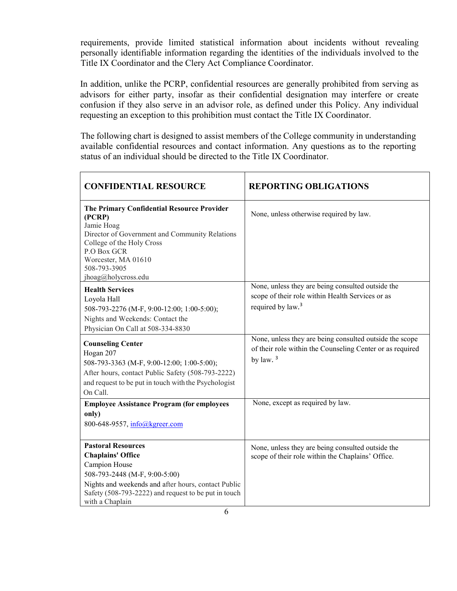requirements, provide limited statistical information about incidents without revealing personally identifiable information regarding the identities of the individuals involved to the Title IX Coordinator and the Clery Act Compliance Coordinator.

In addition, unlike the PCRP, confidential resources are generally prohibited from serving as advisors for either party, insofar as their confidential designation may interfere or create confusion if they also serve in an advisor role, as defined under this Policy. Any individual requesting an exception to this prohibition must contact the Title IX Coordinator.

The following chart is designed to assist members of the College community in understanding available confidential resources and contact information. Any questions as to the reporting status of an individual should be directed to the Title IX Coordinator.

| <b>CONFIDENTIAL RESOURCE</b>                                                                                                                                                                                                              | <b>REPORTING OBLIGATIONS</b>                                                                                                           |
|-------------------------------------------------------------------------------------------------------------------------------------------------------------------------------------------------------------------------------------------|----------------------------------------------------------------------------------------------------------------------------------------|
| The Primary Confidential Resource Provider<br>(PCRP)<br>Jamie Hoag<br>Director of Government and Community Relations<br>College of the Holy Cross<br>P.O Box GCR<br>Worcester, MA 01610<br>508-793-3905<br>jhoag@holycross.edu            | None, unless otherwise required by law.                                                                                                |
| <b>Health Services</b><br>Loyola Hall<br>508-793-2276 (M-F, 9:00-12:00; 1:00-5:00);<br>Nights and Weekends: Contact the<br>Physician On Call at 508-334-8830                                                                              | None, unless they are being consulted outside the<br>scope of their role within Health Services or as<br>required by law. <sup>3</sup> |
| <b>Counseling Center</b><br>Hogan 207<br>508-793-3363 (M-F, 9:00-12:00; 1:00-5:00);<br>After hours, contact Public Safety (508-793-2222)<br>and request to be put in touch with the Psychologist<br>On Call.                              | None, unless they are being consulted outside the scope<br>of their role within the Counseling Center or as required<br>by law. $3$    |
| <b>Employee Assistance Program (for employees</b><br>only)<br>800-648-9557, info@kgreer.com                                                                                                                                               | None, except as required by law.                                                                                                       |
| <b>Pastoral Resources</b><br><b>Chaplains' Office</b><br>Campion House<br>508-793-2448 (M-F, 9:00-5:00)<br>Nights and weekends and after hours, contact Public<br>Safety (508-793-2222) and request to be put in touch<br>with a Chaplain | None, unless they are being consulted outside the<br>scope of their role within the Chaplains' Office.                                 |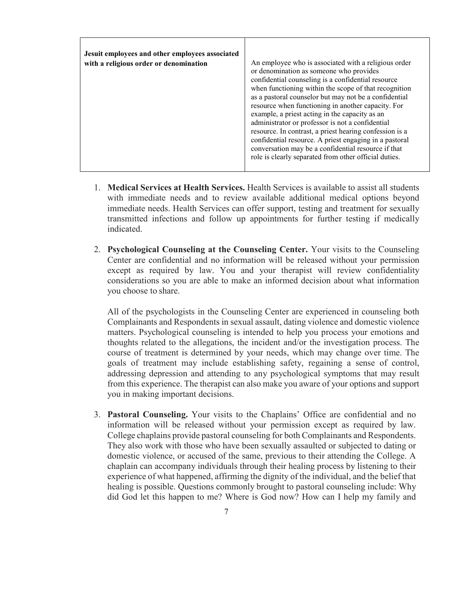| Jesuit employees and other employees associated |                                                                                                                                                                                                                                                                                                                                                                                                                                                                                                                                                                                                                                                                          |
|-------------------------------------------------|--------------------------------------------------------------------------------------------------------------------------------------------------------------------------------------------------------------------------------------------------------------------------------------------------------------------------------------------------------------------------------------------------------------------------------------------------------------------------------------------------------------------------------------------------------------------------------------------------------------------------------------------------------------------------|
| with a religious order or denomination          | An employee who is associated with a religious order<br>or denomination as someone who provides<br>confidential counseling is a confidential resource<br>when functioning within the scope of that recognition<br>as a pastoral counselor but may not be a confidential<br>resource when functioning in another capacity. For<br>example, a priest acting in the capacity as an<br>administrator or professor is not a confidential<br>resource. In contrast, a priest hearing confession is a<br>confidential resource. A priest engaging in a pastoral<br>conversation may be a confidential resource if that<br>role is clearly separated from other official duties. |

- 1. **Medical Services at Health Services.** Health Services is available to assist all students with immediate needs and to review available additional medical options beyond immediate needs. Health Services can offer support, testing and treatment for sexually transmitted infections and follow up appointments for further testing if medically indicated.
- 2. **Psychological Counseling at the Counseling Center.** Your visits to the Counseling Center are confidential and no information will be released without your permission except as required by law. You and your therapist will review confidentiality considerations so you are able to make an informed decision about what information you choose to share.

All of the psychologists in the Counseling Center are experienced in counseling both Complainants and Respondents in sexual assault, dating violence and domestic violence matters. Psychological counseling is intended to help you process your emotions and thoughts related to the allegations, the incident and/or the investigation process. The course of treatment is determined by your needs, which may change over time. The goals of treatment may include establishing safety, regaining a sense of control, addressing depression and attending to any psychological symptoms that may result from this experience. The therapist can also make you aware of your options and support you in making important decisions.

3. **Pastoral Counseling.** Your visits to the Chaplains' Office are confidential and no information will be released without your permission except as required by law. College chaplains provide pastoral counseling for both Complainants and Respondents. They also work with those who have been sexually assaulted or subjected to dating or domestic violence, or accused of the same, previous to their attending the College. A chaplain can accompany individuals through their healing process by listening to their experience of what happened, affirming the dignity of the individual, and the belief that healing is possible. Questions commonly brought to pastoral counseling include: Why did God let this happen to me? Where is God now? How can I help my family and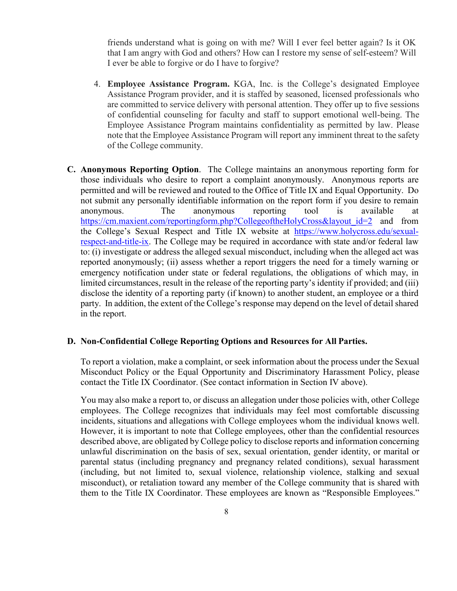friends understand what is going on with me? Will I ever feel better again? Is it OK that I am angry with God and others? How can I restore my sense of self-esteem? Will I ever be able to forgive or do I have to forgive?

- 4. **Employee Assistance Program.** KGA, Inc. is the College's designated Employee Assistance Program provider, and it is staffed by seasoned, licensed professionals who are committed to service delivery with personal attention. They offer up to five sessions of confidential counseling for faculty and staff to support emotional well-being. The Employee Assistance Program maintains confidentiality as permitted by law. Please note that the Employee Assistance Program will report any imminent threat to the safety of the College community.
- **C. Anonymous Reporting Option**. The College maintains an anonymous reporting form for those individuals who desire to report a complaint anonymously. Anonymous reports are permitted and will be reviewed and routed to the Office of Title IX and Equal Opportunity. Do not submit any personally identifiable information on the report form if you desire to remain anonymous. The anonymous reporting tool is available at https://cm.maxient.com/reportingform.php?CollegeoftheHolyCross&layout id=2 and from the College's Sexual Respect and Title IX website at [https://www.holycross.edu/sexual](https://www.holycross.edu/sexual-respect-and-title-ix)[respect-and-title-ix.](https://www.holycross.edu/sexual-respect-and-title-ix) The College may be required in accordance with state and/or federal law to: (i) investigate or address the alleged sexual misconduct, including when the alleged act was reported anonymously; (ii) assess whether a report triggers the need for a timely warning or emergency notification under state or federal regulations, the obligations of which may, in limited circumstances, result in the release of the reporting party's identity if provided; and (iii) disclose the identity of a reporting party (if known) to another student, an employee or a third party. In addition, the extent of the College's response may depend on the level of detail shared in the report.

#### **D. Non-Confidential College Reporting Options and Resources for All Parties.**

To report a violation, make a complaint, or seek information about the process under the Sexual Misconduct Policy or the Equal Opportunity and Discriminatory Harassment Policy, please contact the Title IX Coordinator. (See contact information in Section IV above).

You may also make a report to, or discuss an allegation under those policies with, other College employees. The College recognizes that individuals may feel most comfortable discussing incidents, situations and allegations with College employees whom the individual knows well. However, it is important to note that College employees, other than the confidential resources described above, are obligated by College policy to disclose reports and information concerning unlawful discrimination on the basis of sex, sexual orientation, gender identity, or marital or parental status (including pregnancy and pregnancy related conditions), sexual harassment (including, but not limited to, sexual violence, relationship violence, stalking and sexual misconduct), or retaliation toward any member of the College community that is shared with them to the Title IX Coordinator. These employees are known as "Responsible Employees."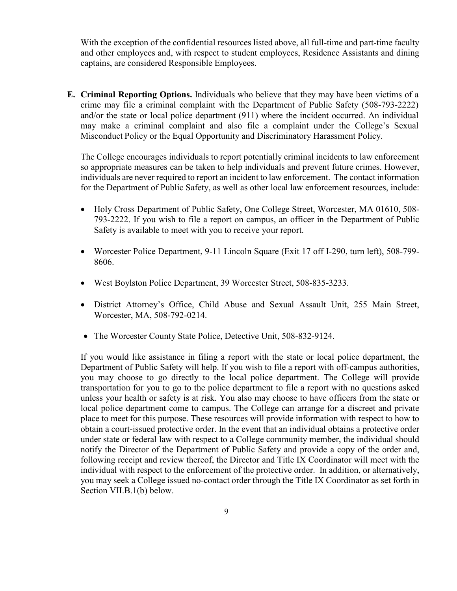With the exception of the confidential resources listed above, all full-time and part-time faculty and other employees and, with respect to student employees, Residence Assistants and dining captains, are considered Responsible Employees.

**E. Criminal Reporting Options.** Individuals who believe that they may have been victims of a crime may file a criminal complaint with the Department of Public Safety (508-793-2222) and/or the state or local police department (911) where the incident occurred. An individual may make a criminal complaint and also file a complaint under the College's Sexual Misconduct Policy or the Equal Opportunity and Discriminatory Harassment Policy.

The College encourages individuals to report potentially criminal incidents to law enforcement so appropriate measures can be taken to help individuals and prevent future crimes. However, individuals are never required to report an incident to law enforcement. The contact information for the Department of Public Safety, as well as other local law enforcement resources, include:

- Holy Cross Department of Public Safety, One College Street, Worcester, MA 01610, 508-793-2222. If you wish to file a report on campus, an officer in the Department of Public Safety is available to meet with you to receive your report.
- Worcester Police Department, 9-11 Lincoln Square (Exit 17 off I-290, turn left), 508-799-8606.
- West Boylston Police Department, 39 Worcester Street, 508-835-3233.
- District Attorney's Office, Child Abuse and Sexual Assault Unit, 255 Main Street, Worcester, MA, 508-792-0214.
- The Worcester County State Police, Detective Unit, 508-832-9124.

If you would like assistance in filing a report with the state or local police department, the Department of Public Safety will help. If you wish to file a report with off-campus authorities, you may choose to go directly to the local police department. The College will provide transportation for you to go to the police department to file a report with no questions asked unless your health or safety is at risk. You also may choose to have officers from the state or local police department come to campus. The College can arrange for a discreet and private place to meet for this purpose. These resources will provide information with respect to how to obtain a court-issued protective order. In the event that an individual obtains a protective order under state or federal law with respect to a College community member, the individual should notify the Director of the Department of Public Safety and provide a copy of the order and, following receipt and review thereof, the Director and Title IX Coordinator will meet with the individual with respect to the enforcement of the protective order. In addition, or alternatively, you may seek a College issued no-contact order through the Title IX Coordinator as set forth in Section VII.B.1(b) below.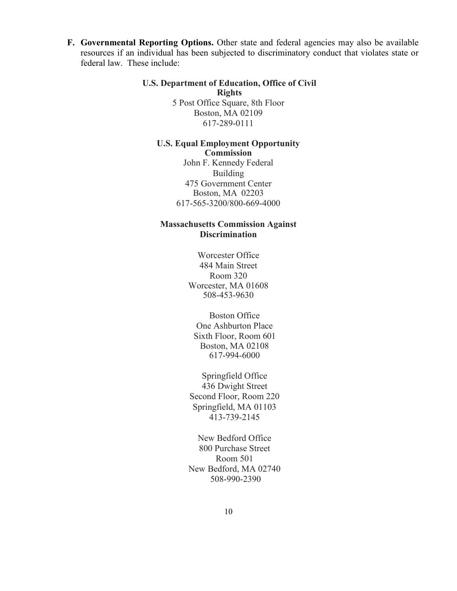**F. Governmental Reporting Options.** Other state and federal agencies may also be available resources if an individual has been subjected to discriminatory conduct that violates state or federal law. These include:

### **U.S. Department of Education, Office of Civil Rights** 5 Post Office Square, 8th Floor Boston, MA 02109

617-289-0111

#### **U.S. Equal Employment Opportunity Commission**

John F. Kennedy Federal Building 475 Government Center Boston, MA 02203 617-565-3200/800-669-4000

## **Massachusetts Commission Against Discrimination**

Worcester Office 484 Main Street Room 320 Worcester, MA 01608 508-453-9630

Boston Office One Ashburton Place Sixth Floor, Room 601 Boston, MA 02108 617-994-6000

Springfield Office 436 Dwight Street Second Floor, Room 220 Springfield, MA 01103 413-739-2145

New Bedford Office 800 Purchase Street Room 501 New Bedford, MA 02740 508-990-2390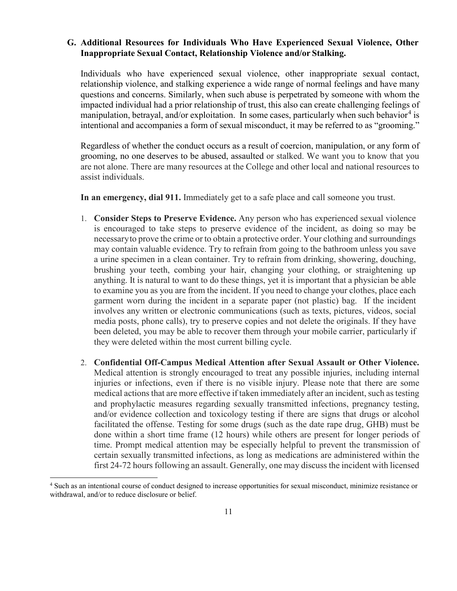## **G. Additional Resources for Individuals Who Have Experienced Sexual Violence, Other Inappropriate Sexual Contact, Relationship Violence and/or Stalking.**

Individuals who have experienced sexual violence, other inappropriate sexual contact, relationship violence, and stalking experience a wide range of normal feelings and have many questions and concerns. Similarly, when such abuse is perpetrated by someone with whom the impacted individual had a prior relationship of trust, this also can create challenging feelings of manipulation, betrayal, and/or exploitation. In some cases, particularly when such behavior<sup>[4](#page-10-0)</sup> is intentional and accompanies a form of sexual misconduct, it may be referred to as "grooming."

Regardless of whether the conduct occurs as a result of coercion, manipulation, or any form of grooming, no one deserves to be abused, assaulted or stalked. We want you to know that you are not alone. There are many resources at the College and other local and national resources to assist individuals.

**In an emergency, dial 911.** Immediately get to a safe place and call someone you trust.

- 1. **Consider Steps to Preserve Evidence.** Any person who has experienced sexual violence is encouraged to take steps to preserve evidence of the incident, as doing so may be necessaryto prove the crime or to obtain a protective order. Your clothing and surroundings may contain valuable evidence. Try to refrain from going to the bathroom unless you save a urine specimen in a clean container. Try to refrain from drinking, showering, douching, brushing your teeth, combing your hair, changing your clothing, or straightening up anything. It is natural to want to do these things, yet it is important that a physician be able to examine you as you are from the incident. If you need to change your clothes, place each garment worn during the incident in a separate paper (not plastic) bag. If the incident involves any written or electronic communications (such as texts, pictures, videos, social media posts, phone calls), try to preserve copies and not delete the originals. If they have been deleted, you may be able to recover them through your mobile carrier, particularly if they were deleted within the most current billing cycle.
- 2. **Confidential Off-Campus Medical Attention after Sexual Assault or Other Violence.**  Medical attention is strongly encouraged to treat any possible injuries, including internal injuries or infections, even if there is no visible injury. Please note that there are some medical actions that are more effective if taken immediately after an incident, such as testing and prophylactic measures regarding sexually transmitted infections, pregnancy testing, and/or evidence collection and toxicology testing if there are signs that drugs or alcohol facilitated the offense. Testing for some drugs (such as the date rape drug, GHB) must be done within a short time frame (12 hours) while others are present for longer periods of time. Prompt medical attention may be especially helpful to prevent the transmission of certain sexually transmitted infections, as long as medications are administered within the first 24-72 hours following an assault. Generally, one may discuss the incident with licensed

<span id="page-10-0"></span> <sup>4</sup> Such as an intentional course of conduct designed to increase opportunities for sexual misconduct, minimize resistance or withdrawal, and/or to reduce disclosure or belief.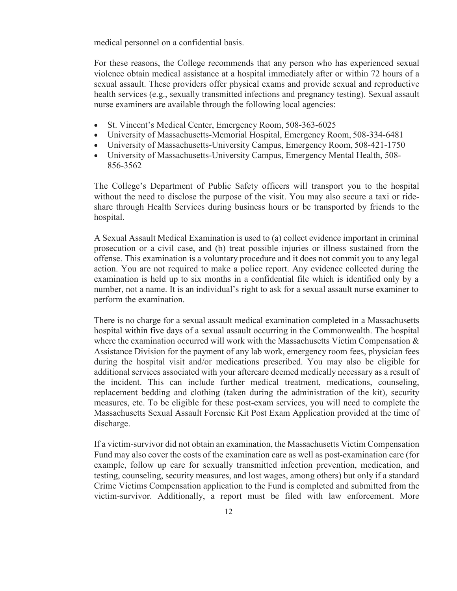medical personnel on a confidential basis.

For these reasons, the College recommends that any person who has experienced sexual violence obtain medical assistance at a hospital immediately after or within 72 hours of a sexual assault. These providers offer physical exams and provide sexual and reproductive health services (e.g., sexually transmitted infections and pregnancy testing). Sexual assault nurse examiners are available through the following local agencies:

- St. Vincent's Medical Center, Emergency Room, 508-363-6025
- University of Massachusetts-Memorial Hospital, Emergency Room, 508-334-6481
- University of Massachusetts-University Campus, Emergency Room, 508-421-1750
- University of Massachusetts-University Campus, Emergency Mental Health, 508- 856-3562

The College's Department of Public Safety officers will transport you to the hospital without the need to disclose the purpose of the visit. You may also secure a taxi or rideshare through Health Services during business hours or be transported by friends to the hospital.

A Sexual Assault Medical Examination is used to (a) collect evidence important in criminal prosecution or a civil case, and (b) treat possible injuries or illness sustained from the offense. This examination is a voluntary procedure and it does not commit you to any legal action. You are not required to make a police report. Any evidence collected during the examination is held up to six months in a confidential file which is identified only by a number, not a name. It is an individual's right to ask for a sexual assault nurse examiner to perform the examination.

There is no charge for a sexual assault medical examination completed in a Massachusetts hospital within five days of a sexual assault occurring in the Commonwealth. The hospital where the examination occurred will work with the Massachusetts Victim Compensation  $\&$ Assistance Division for the payment of any lab work, emergency room fees, physician fees during the hospital visit and/or medications prescribed. You may also be eligible for additional services associated with your aftercare deemed medically necessary as a result of the incident. This can include further medical treatment, medications, counseling, replacement bedding and clothing (taken during the administration of the kit), security measures, etc. To be eligible for these post-exam services, you will need to complete the Massachusetts Sexual Assault Forensic Kit Post Exam Application provided at the time of discharge.

If a victim-survivor did not obtain an examination, the Massachusetts Victim Compensation Fund may also cover the costs of the examination care as well as post-examination care (for example, follow up care for sexually transmitted infection prevention, medication, and testing, counseling, security measures, and lost wages, among others) but only if a standard Crime Victims Compensation application to the Fund is completed and submitted from the victim-survivor. Additionally, a report must be filed with law enforcement. More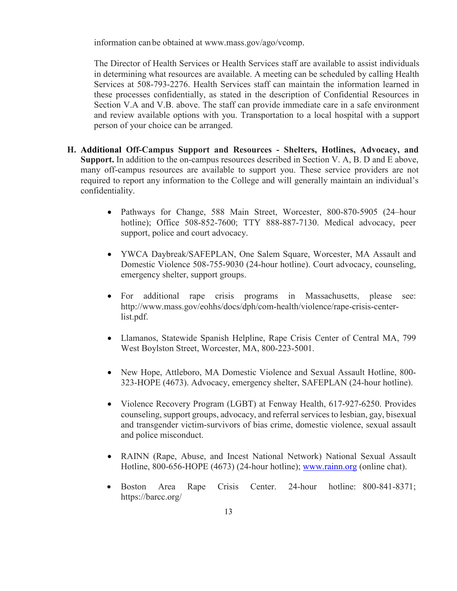information can be obtained at [www.mass.gov/ago/vcomp.](http://www.mass.gov/ago/vcomp)

The Director of Health Services or Health Services staff are available to assist individuals in determining what resources are available. A meeting can be scheduled by calling Health Services at 508-793-2276. Health Services staff can maintain the information learned in these processes confidentially, as stated in the description of Confidential Resources in Section V.A and V.B. above. The staff can provide immediate care in a safe environment and review available options with you. Transportation to a local hospital with a support person of your choice can be arranged.

- **H. Additional Off-Campus Support and Resources - Shelters, Hotlines, Advocacy, and Support.** In addition to the on-campus resources described in Section V. A, B. D and E above, many off-campus resources are available to support you. These service providers are not required to report any information to the College and will generally maintain an individual's confidentiality.
	- Pathways for Change, 588 Main Street, Worcester, 800-870-5905 (24–hour hotline); Office 508-852-7600; TTY 888-887-7130. Medical advocacy, peer support, police and court advocacy.
	- YWCA Daybreak/SAFEPLAN, One Salem Square, Worcester, MA Assault and Domestic Violence 508-755-9030 (24-hour hotline). Court advocacy, counseling, emergency shelter, support groups.
	- For additional rape crisis programs in Massachusetts, please see: [http://www.mass.gov/eohhs/docs/dph/com-health/violence/rape-crisis-center](http://www.mass.gov/eohhs/docs/dph/com-health/violence/rape-crisis-center-list.pdf)[list.pdf.](http://www.mass.gov/eohhs/docs/dph/com-health/violence/rape-crisis-center-list.pdf)
	- Llamanos, Statewide Spanish Helpline, Rape Crisis Center of Central MA, 799 West Boylston Street, Worcester, MA, 800-223-5001.
	- New Hope, Attleboro, MA Domestic Violence and Sexual Assault Hotline, 800-323-HOPE (4673). Advocacy, emergency shelter, SAFEPLAN (24-hour hotline).
	- Violence Recovery Program (LGBT) at Fenway Health, 617-927-6250. Provides counseling, support groups, advocacy, and referral services to lesbian, gay, bisexual and transgender victim-survivors of bias crime, domestic violence, sexual assault and police misconduct.
	- RAINN (Rape, Abuse, and Incest National Network) National Sexual Assault Hotline, 800-656-HOPE (4673) (24-hour hotline); [www.rainn.org](http://www.rainn.org/) (online chat).
	- Boston Area Rape Crisis Center. 24-hour hotline: [800-841-8371;](tel://1-800-841-8371/) <https://barcc.org/>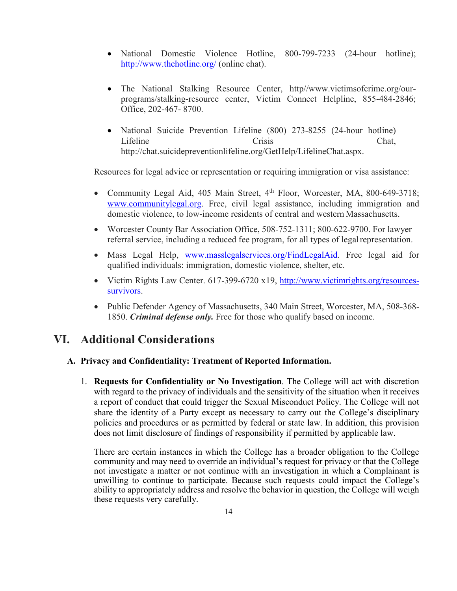- National Domestic Violence Hotline, 800-799-7233 (24-hour hotline); <http://www.thehotline.org/> (online chat).
- The National Stalking Resource Center, http/[/www.victimsofcrime.org/our](http://www.victimsofcrime.org/our-)programs/stalking-resource center, Victim Connect Helpline, 855-484-2846; Office, 202-467- 8700.
- National Suicide Prevention Lifeline (800) 273-8255 (24-hour hotline) Lifeline Crisis Chat, [http://chat.suicidepreventionlifeline.org/GetHelp/LifelineChat.aspx.](http://chat.suicidepreventionlifeline.org/GetHelp/LifelineChat.aspx)

Resources for legal advice or representation or requiring immigration or visa assistance:

- Community Legal Aid, 405 Main Street, 4<sup>th</sup> Floor, Worcester, MA, 800-649-3718[;](http://www.communitylegal.org/) [www.communitylegal.org.](http://www.communitylegal.org/) Free, civil legal assistance, including immigration and domestic violence, to low-income residents of central and western Massachusetts.
- Worcester County Bar Association Office, 508-752-1311; 800-622-9700. For lawyer referral service, including a reduced fee program, for all types of legalrepresentation.
- Mass Legal Help, [www.masslegalservices.org/FindLegalAid.](http://www.masslegalservices.org/FindLegalAid) Free legal aid for qualified individuals: immigration, domestic violence, shelter, etc.
- Victim Rights Law Center. 617-399-6720 x19, [http://www.victimrights.org/resources](http://www.victimrights.org/resources-survivors)[survivors.](http://www.victimrights.org/resources-survivors)
- Public Defender Agency of Massachusetts, 340 Main Street, Worcester, MA, 508-368-1850. *Criminal defense only.* Free for those who qualify based on income.

## **VI. Additional Considerations**

## **A. Privacy and Confidentiality: Treatment of Reported Information.**

1. **Requests for Confidentiality or No Investigation**. The College will act with discretion with regard to the privacy of individuals and the sensitivity of the situation when it receives a report of conduct that could trigger the Sexual Misconduct Policy. The College will not share the identity of a Party except as necessary to carry out the College's disciplinary policies and procedures or as permitted by federal or state law. In addition, this provision does not limit disclosure of findings of responsibility if permitted by applicable law.

There are certain instances in which the College has a broader obligation to the College community and may need to override an individual's request for privacy or that the College not investigate a matter or not continue with an investigation in which a Complainant is unwilling to continue to participate. Because such requests could impact the College's ability to appropriately address and resolve the behavior in question, the College will weigh these requests very carefully.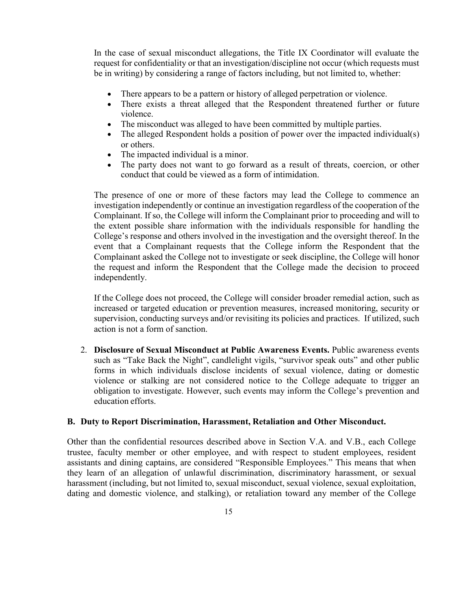In the case of sexual misconduct allegations, the Title IX Coordinator will evaluate the request for confidentiality or that an investigation/discipline not occur (which requests must be in writing) by considering a range of factors including, but not limited to, whether:

- There appears to be a pattern or history of alleged perpetration or violence.
- There exists a threat alleged that the Respondent threatened further or future violence.
- The misconduct was alleged to have been committed by multiple parties.
- The alleged Respondent holds a position of power over the impacted individual(s) or others.
- The impacted individual is a minor.
- The party does not want to go forward as a result of threats, coercion, or other conduct that could be viewed as a form of intimidation.

The presence of one or more of these factors may lead the College to commence an investigation independently or continue an investigation regardless of the cooperation of the Complainant. If so, the College will inform the Complainant prior to proceeding and will to the extent possible share information with the individuals responsible for handling the College's response and others involved in the investigation and the oversight thereof. In the event that a Complainant requests that the College inform the Respondent that the Complainant asked the College not to investigate or seek discipline, the College will honor the request and inform the Respondent that the College made the decision to proceed independently.

If the College does not proceed, the College will consider broader remedial action, such as increased or targeted education or prevention measures, increased monitoring, security or supervision, conducting surveys and/or revisiting its policies and practices. If utilized, such action is not a form of sanction.

2. **Disclosure of Sexual Misconduct at Public Awareness Events.** Public awareness events such as "Take Back the Night", candlelight vigils, "survivor speak outs" and other public forms in which individuals disclose incidents of sexual violence, dating or domestic violence or stalking are not considered notice to the College adequate to trigger an obligation to investigate. However, such events may inform the College's prevention and education efforts.

#### **B. Duty to Report Discrimination, Harassment, Retaliation and Other Misconduct.**

Other than the confidential resources described above in Section V.A. and V.B., each College trustee, faculty member or other employee, and with respect to student employees, resident assistants and dining captains, are considered "Responsible Employees." This means that when they learn of an allegation of unlawful discrimination, discriminatory harassment, or sexual harassment (including, but not limited to, sexual misconduct, sexual violence, sexual exploitation, dating and domestic violence, and stalking), or retaliation toward any member of the College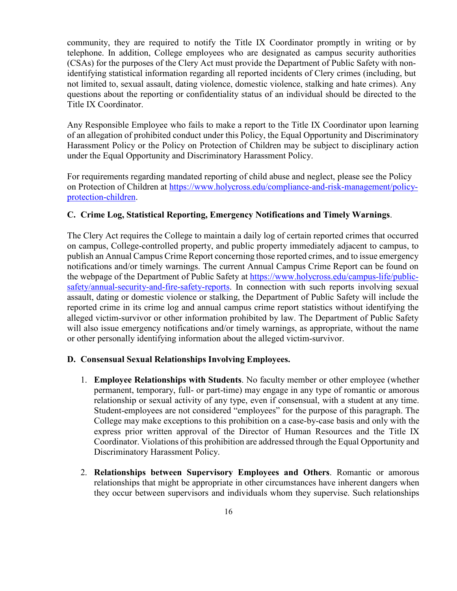community, they are required to notify the Title IX Coordinator promptly in writing or by telephone. In addition, College employees who are designated as campus security authorities (CSAs) for the purposes of the Clery Act must provide the Department of Public Safety with nonidentifying statistical information regarding all reported incidents of Clery crimes (including, but not limited to, sexual assault, dating violence, domestic violence, stalking and hate crimes). Any questions about the reporting or confidentiality status of an individual should be directed to the Title IX Coordinator.

Any Responsible Employee who fails to make a report to the Title IX Coordinator upon learning of an allegation of prohibited conduct under this Policy, the Equal Opportunity and Discriminatory Harassment Policy or the Policy on Protection of Children may be subject to disciplinary action under the Equal Opportunity and Discriminatory Harassment Policy.

For requirements regarding mandated reporting of child abuse and neglect, please see the Policy on Protection of Children at https:/[/www.holycross.edu/compliance-and-risk-management/policy](http://www.holycross.edu/compliance-and-risk-management/policy-)protection-children.

## **C. Crime Log, Statistical Reporting, Emergency Notifications and Timely Warnings**.

The Clery Act requires the College to maintain a daily log of certain reported crimes that occurred on campus, College-controlled property, and public property immediately adjacent to campus, to publish an Annual Campus Crime Report concerning those reported crimes, and to issue emergency notifications and/or timely warnings. The current Annual Campus Crime Report can be found on the webpage of the Department of Public Safety at [https://www.holycross.edu/campus-life/public](https://www.holycross.edu/campus-life/public-safety/annual-security-and-fire-safety-reports)[safety/annual-security-and-fire-safety-reports.](https://www.holycross.edu/campus-life/public-safety/annual-security-and-fire-safety-reports) In connection with such reports involving sexual assault, dating or domestic violence or stalking, the Department of Public Safety will include the reported crime in its crime log and annual campus crime report statistics without identifying the alleged victim-survivor or other information prohibited by law. The Department of Public Safety will also issue emergency notifications and/or timely warnings, as appropriate, without the name or other personally identifying information about the alleged victim-survivor.

#### **D. Consensual Sexual Relationships Involving Employees.**

- 1. **Employee Relationships with Students**. No faculty member or other employee (whether permanent, temporary, full- or part-time) may engage in any type of romantic or amorous relationship or sexual activity of any type, even if consensual, with a student at any time. Student-employees are not considered "employees" for the purpose of this paragraph. The College may make exceptions to this prohibition on a case-by-case basis and only with the express prior written approval of the Director of Human Resources and the Title IX Coordinator. Violations of this prohibition are addressed through the Equal Opportunity and Discriminatory Harassment Policy.
- 2. **Relationships between Supervisory Employees and Others**. Romantic or amorous relationships that might be appropriate in other circumstances have inherent dangers when they occur between supervisors and individuals whom they supervise. Such relationships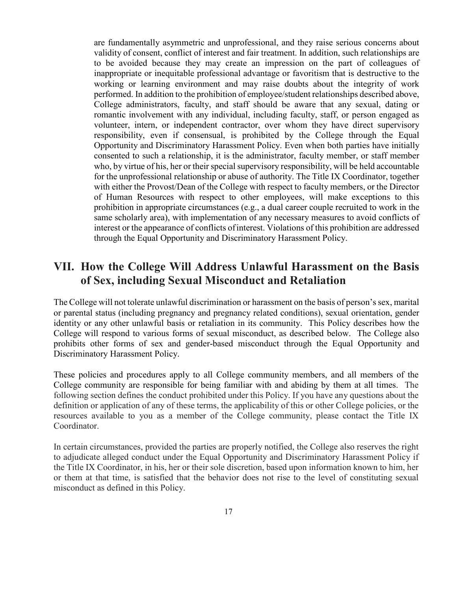are fundamentally asymmetric and unprofessional, and they raise serious concerns about validity of consent, conflict of interest and fair treatment. In addition, such relationships are to be avoided because they may create an impression on the part of colleagues of inappropriate or inequitable professional advantage or favoritism that is destructive to the working or learning environment and may raise doubts about the integrity of work performed. In addition to the prohibition of employee/student relationships described above, College administrators, faculty, and staff should be aware that any sexual, dating or romantic involvement with any individual, including faculty, staff, or person engaged as volunteer, intern, or independent contractor, over whom they have direct supervisory responsibility, even if consensual, is prohibited by the College through the Equal Opportunity and Discriminatory Harassment Policy. Even when both parties have initially consented to such a relationship, it is the administrator, faculty member, or staff member who, by virtue of his, her or their special supervisory responsibility, will be held accountable for the unprofessional relationship or abuse of authority. The Title IX Coordinator, together with either the Provost/Dean of the College with respect to faculty members, or the Director of Human Resources with respect to other employees, will make exceptions to this prohibition in appropriate circumstances (e.g., a dual career couple recruited to work in the same scholarly area), with implementation of any necessary measures to avoid conflicts of interest or the appearance of conflicts of interest. Violations of this prohibition are addressed through the Equal Opportunity and Discriminatory Harassment Policy.

## **VII. How the College Will Address Unlawful Harassment on the Basis of Sex, including Sexual Misconduct and Retaliation**

The College will not tolerate unlawful discrimination or harassment on the basis of person's sex, marital or parental status (including pregnancy and pregnancy related conditions), sexual orientation, gender identity or any other unlawful basis or retaliation in its community. This Policy describes how the College will respond to various forms of sexual misconduct, as described below. The College also prohibits other forms of sex and gender-based misconduct through the Equal Opportunity and Discriminatory Harassment Policy.

These policies and procedures apply to all College community members, and all members of the College community are responsible for being familiar with and abiding by them at all times. The following section defines the conduct prohibited under this Policy. If you have any questions about the definition or application of any of these terms, the applicability of this or other College policies, or the resources available to you as a member of the College community, please contact the Title IX Coordinator.

In certain circumstances, provided the parties are properly notified, the College also reserves the right to adjudicate alleged conduct under the Equal Opportunity and Discriminatory Harassment Policy if the Title IX Coordinator, in his, her or their sole discretion, based upon information known to him, her or them at that time, is satisfied that the behavior does not rise to the level of constituting sexual misconduct as defined in this Policy.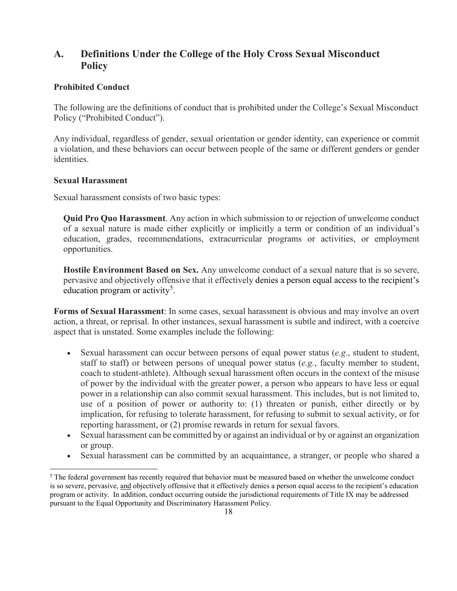## **A. Definitions Under the College of the Holy Cross Sexual Misconduct Policy**

## **Prohibited Conduct**

The following are the definitions of conduct that is prohibited under the College's Sexual Misconduct Policy ("Prohibited Conduct").

Any individual, regardless of gender, sexual orientation or gender identity, can experience or commit a violation, and these behaviors can occur between people of the same or different genders or gender identities.

## **Sexual Harassment**

Sexual harassment consists of two basic types:

**Quid Pro Quo Harassment**. Any action in which submission to or rejection of unwelcome conduct of a sexual nature is made either explicitly or implicitly a term or condition of an individual's education, grades, recommendations, extracurricular programs or activities, or employment opportunities.

**Hostile Environment Based on Sex.** Any unwelcome conduct of a sexual nature that is so severe, pervasive and objectively offensive that it effectively denies a person equal access to the recipient's education program or activity<sup>[5](#page-17-0)</sup>.

**Forms of Sexual Harassment**: In some cases, sexual harassment is obvious and may involve an overt action, a threat, or reprisal. In other instances, sexual harassment is subtle and indirect, with a coercive aspect that is unstated. Some examples include the following:

- Sexual harassment can occur between persons of equal power status (*e.g.*, student to student, staff to staff) or between persons of unequal power status (*e.g.*, faculty member to student, coach to student-athlete). Although sexual harassment often occurs in the context of the misuse of power by the individual with the greater power, a person who appears to have less or equal power in a relationship can also commit sexual harassment. This includes, but is not limited to, use of a position of power or authority to: (1) threaten or punish, either directly or by implication, for refusing to tolerate harassment, for refusing to submit to sexual activity, or for reporting harassment, or (2) promise rewards in return for sexual favors.
- Sexual harassment can be committed by or against an individual or by or against an organization or group.
- Sexual harassment can be committed by an acquaintance, a stranger, or people who shared a

<span id="page-17-0"></span><sup>&</sup>lt;sup>5</sup> The federal government has recently required that behavior must be measured based on whether the unwelcome conduct is so severe, pervasive, and objectively offensive that it effectively denies a person equal access to the recipient's education program or activity. In addition, conduct occurring outside the jurisdictional requirements of Title IX may be addressed pursuant to the Equal Opportunity and Discriminatory Harassment Policy.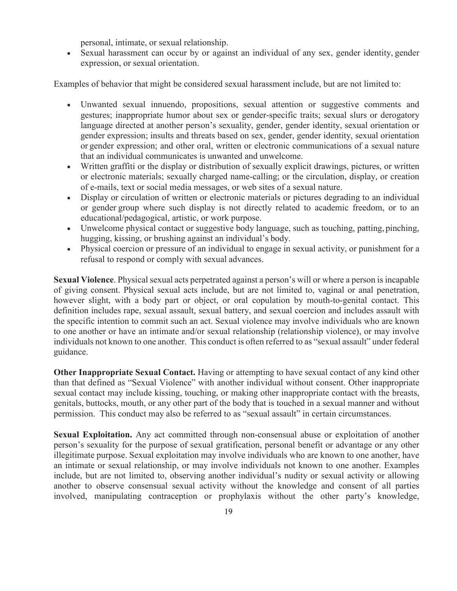personal, intimate, or sexual relationship.

• Sexual harassment can occur by or against an individual of any sex, gender identity, gender expression, or sexual orientation.

Examples of behavior that might be considered sexual harassment include, but are not limited to:

- Unwanted sexual innuendo, propositions, sexual attention or suggestive comments and gestures; inappropriate humor about sex or gender-specific traits; sexual slurs or derogatory language directed at another person's sexuality, gender, gender identity, sexual orientation or gender expression; insults and threats based on sex, gender, gender identity, sexual orientation or gender expression; and other oral, written or electronic communications of a sexual nature that an individual communicates is unwanted and unwelcome.
- Written graffiti or the display or distribution of sexually explicit drawings, pictures, or written or electronic materials; sexually charged name-calling; or the circulation, display, or creation of e-mails, text or social media messages, or web sites of a sexual nature.
- Display or circulation of written or electronic materials or pictures degrading to an individual or gender group where such display is not directly related to academic freedom, or to an educational/pedagogical, artistic, or work purpose.
- Unwelcome physical contact or suggestive body language, such as touching, patting, pinching, hugging, kissing, or brushing against an individual's body.
- Physical coercion or pressure of an individual to engage in sexual activity, or punishment for a refusal to respond or comply with sexual advances.

**Sexual Violence**. Physical sexual acts perpetrated against a person's will or where a person is incapable of giving consent. Physical sexual acts include, but are not limited to, vaginal or anal penetration, however slight, with a body part or object, or oral copulation by mouth-to-genital contact. This definition includes rape, sexual assault, sexual battery, and sexual coercion and includes assault with the specific intention to commit such an act. Sexual violence may involve individuals who are known to one another or have an intimate and/or sexual relationship (relationship violence), or may involve individuals not known to one another. This conduct is often referred to as "sexual assault" under federal guidance.

**Other Inappropriate Sexual Contact.** Having or attempting to have sexual contact of any kind other than that defined as "Sexual Violence" with another individual without consent. Other inappropriate sexual contact may include kissing, touching, or making other inappropriate contact with the breasts, genitals, buttocks, mouth, or any other part of the body that is touched in a sexual manner and without permission. This conduct may also be referred to as "sexual assault" in certain circumstances.

**Sexual Exploitation.** Any act committed through non-consensual abuse or exploitation of another person's sexuality for the purpose of sexual gratification, personal benefit or advantage or any other illegitimate purpose. Sexual exploitation may involve individuals who are known to one another, have an intimate or sexual relationship, or may involve individuals not known to one another. Examples include, but are not limited to, observing another individual's nudity or sexual activity or allowing another to observe consensual sexual activity without the knowledge and consent of all parties involved, manipulating contraception or prophylaxis without the other party's knowledge,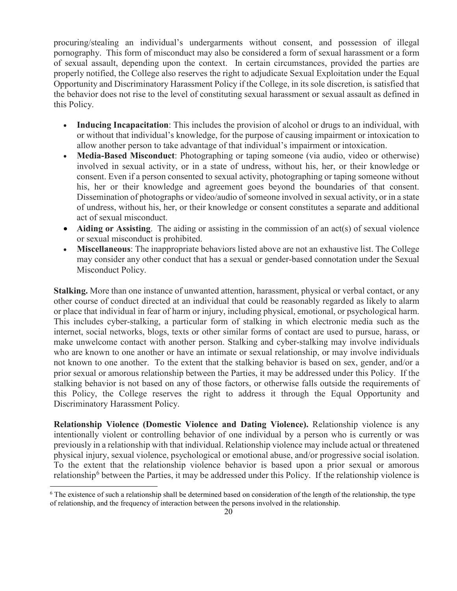procuring/stealing an individual's undergarments without consent, and possession of illegal pornography. This form of misconduct may also be considered a form of sexual harassment or a form of sexual assault, depending upon the context. In certain circumstances, provided the parties are properly notified, the College also reserves the right to adjudicate Sexual Exploitation under the Equal Opportunity and Discriminatory Harassment Policy if the College, in its sole discretion, is satisfied that the behavior does not rise to the level of constituting sexual harassment or sexual assault as defined in this Policy.

- **Inducing Incapacitation**: This includes the provision of alcohol or drugs to an individual, with or without that individual's knowledge, for the purpose of causing impairment or intoxication to allow another person to take advantage of that individual's impairment or intoxication.
- **Media-Based Misconduct**: Photographing or taping someone (via audio, video or otherwise) involved in sexual activity, or in a state of undress, without his, her, or their knowledge or consent. Even if a person consented to sexual activity, photographing or taping someone without his, her or their knowledge and agreement goes beyond the boundaries of that consent. Dissemination of photographs or video/audio of someone involved in sexual activity, or in a state of undress, without his, her, or their knowledge or consent constitutes a separate and additional act of sexual misconduct.
- **Aiding or Assisting**. The aiding or assisting in the commission of an act(s) of sexual violence or sexual misconduct is prohibited.
- **Miscellaneous**: The inappropriate behaviors listed above are not an exhaustive list. The College may consider any other conduct that has a sexual or gender-based connotation under the Sexual Misconduct Policy.

**Stalking.** More than one instance of unwanted attention, harassment, physical or verbal contact, or any other course of conduct directed at an individual that could be reasonably regarded as likely to alarm or place that individual in fear of harm or injury, including physical, emotional, or psychological harm. This includes cyber-stalking, a particular form of stalking in which electronic media such as the internet, social networks, blogs, texts or other similar forms of contact are used to pursue, harass, or make unwelcome contact with another person. Stalking and cyber-stalking may involve individuals who are known to one another or have an intimate or sexual relationship, or may involve individuals not known to one another. To the extent that the stalking behavior is based on sex, gender, and/or a prior sexual or amorous relationship between the Parties, it may be addressed under this Policy. If the stalking behavior is not based on any of those factors, or otherwise falls outside the requirements of this Policy, the College reserves the right to address it through the Equal Opportunity and Discriminatory Harassment Policy.

**Relationship Violence (Domestic Violence and Dating Violence).** Relationship violence is any intentionally violent or controlling behavior of one individual by a person who is currently or was previously in a relationship with that individual. Relationship violence may include actual or threatened physical injury, sexual violence, psychological or emotional abuse, and/or progressive social isolation. To the extent that the relationship violence behavior is based upon a prior sexual or amorous relationship<sup>[6](#page-19-0)</sup> between the Parties, it may be addressed under this Policy. If the relationship violence is

<span id="page-19-0"></span><sup>&</sup>lt;sup>6</sup> The existence of such a relationship shall be determined based on consideration of the length of the relationship, the type of relationship, and the frequency of interaction between the persons involved in the relationship.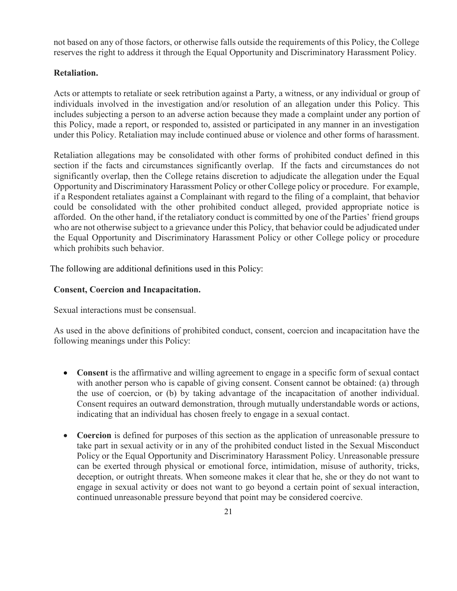not based on any of those factors, or otherwise falls outside the requirements of this Policy, the College reserves the right to address it through the Equal Opportunity and Discriminatory Harassment Policy.

## **Retaliation.**

Acts or attempts to retaliate or seek retribution against a Party, a witness, or any individual or group of individuals involved in the investigation and/or resolution of an allegation under this Policy. This includes subjecting a person to an adverse action because they made a complaint under any portion of this Policy, made a report, or responded to, assisted or participated in any manner in an investigation under this Policy. Retaliation may include continued abuse or violence and other forms of harassment.

Retaliation allegations may be consolidated with other forms of prohibited conduct defined in this section if the facts and circumstances significantly overlap. If the facts and circumstances do not significantly overlap, then the College retains discretion to adjudicate the allegation under the Equal Opportunity and Discriminatory Harassment Policy or other College policy or procedure. For example, if a Respondent retaliates against a Complainant with regard to the filing of a complaint, that behavior could be consolidated with the other prohibited conduct alleged, provided appropriate notice is afforded. On the other hand, if the retaliatory conduct is committed by one of the Parties' friend groups who are not otherwise subject to a grievance under this Policy, that behavior could be adjudicated under the Equal Opportunity and Discriminatory Harassment Policy or other College policy or procedure which prohibits such behavior.

The following are additional definitions used in this Policy:

#### **Consent, Coercion and Incapacitation.**

Sexual interactions must be consensual.

As used in the above definitions of prohibited conduct, consent, coercion and incapacitation have the following meanings under this Policy:

- **Consent** is the affirmative and willing agreement to engage in a specific form of sexual contact with another person who is capable of giving consent. Consent cannot be obtained: (a) through the use of coercion, or (b) by taking advantage of the incapacitation of another individual. Consent requires an outward demonstration, through mutually understandable words or actions, indicating that an individual has chosen freely to engage in a sexual contact.
- **Coercion** is defined for purposes of this section as the application of unreasonable pressure to take part in sexual activity or in any of the prohibited conduct listed in the Sexual Misconduct Policy or the Equal Opportunity and Discriminatory Harassment Policy. Unreasonable pressure can be exerted through physical or emotional force, intimidation, misuse of authority, tricks, deception, or outright threats. When someone makes it clear that he, she or they do not want to engage in sexual activity or does not want to go beyond a certain point of sexual interaction, continued unreasonable pressure beyond that point may be considered coercive.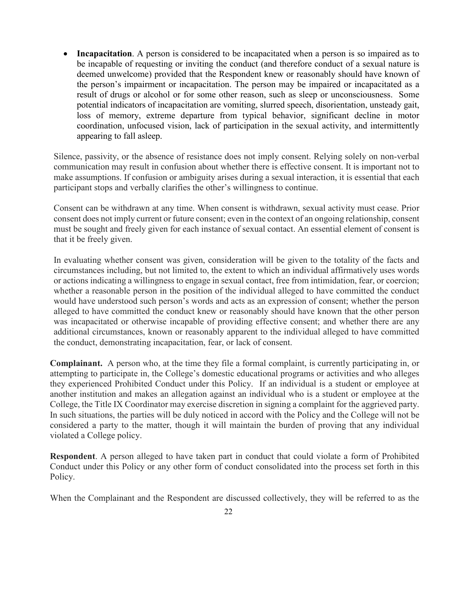• **Incapacitation**. A person is considered to be incapacitated when a person is so impaired as to be incapable of requesting or inviting the conduct (and therefore conduct of a sexual nature is deemed unwelcome) provided that the Respondent knew or reasonably should have known of the person's impairment or incapacitation. The person may be impaired or incapacitated as a result of drugs or alcohol or for some other reason, such as sleep or unconsciousness. Some potential indicators of incapacitation are vomiting, slurred speech, disorientation, unsteady gait, loss of memory, extreme departure from typical behavior, significant decline in motor coordination, unfocused vision, lack of participation in the sexual activity, and intermittently appearing to fall asleep.

Silence, passivity, or the absence of resistance does not imply consent. Relying solely on non-verbal communication may result in confusion about whether there is effective consent. It is important not to make assumptions. If confusion or ambiguity arises during a sexual interaction, it is essential that each participant stops and verbally clarifies the other's willingness to continue.

Consent can be withdrawn at any time. When consent is withdrawn, sexual activity must cease. Prior consent does not imply current or future consent; even in the context of an ongoing relationship, consent must be sought and freely given for each instance of sexual contact. An essential element of consent is that it be freely given.

In evaluating whether consent was given, consideration will be given to the totality of the facts and circumstances including, but not limited to, the extent to which an individual affirmatively uses words or actions indicating a willingness to engage in sexual contact, free from intimidation, fear, or coercion; whether a reasonable person in the position of the individual alleged to have committed the conduct would have understood such person's words and acts as an expression of consent; whether the person alleged to have committed the conduct knew or reasonably should have known that the other person was incapacitated or otherwise incapable of providing effective consent; and whether there are any additional circumstances, known or reasonably apparent to the individual alleged to have committed the conduct, demonstrating incapacitation, fear, or lack of consent.

**Complainant.** A person who, at the time they file a formal complaint, is currently participating in, or attempting to participate in, the College's domestic educational programs or activities and who alleges they experienced Prohibited Conduct under this Policy. If an individual is a student or employee at another institution and makes an allegation against an individual who is a student or employee at the College, the Title IX Coordinator may exercise discretion in signing a complaint for the aggrieved party. In such situations, the parties will be duly noticed in accord with the Policy and the College will not be considered a party to the matter, though it will maintain the burden of proving that any individual violated a College policy.

**Respondent**. A person alleged to have taken part in conduct that could violate a form of Prohibited Conduct under this Policy or any other form of conduct consolidated into the process set forth in this Policy.

When the Complainant and the Respondent are discussed collectively, they will be referred to as the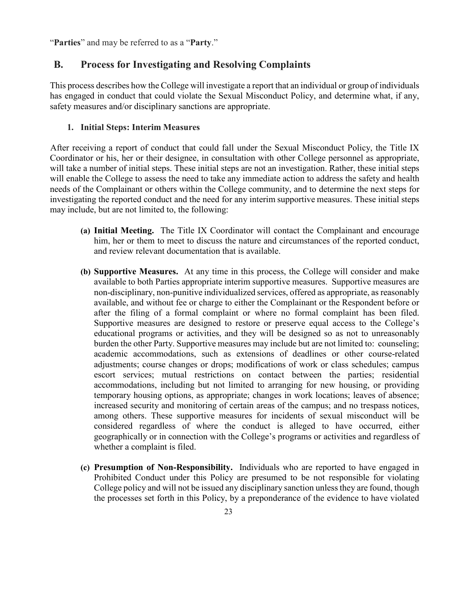"**Parties**" and may be referred to as a "**Party**."

## **B. Process for Investigating and Resolving Complaints**

This process describes how the College will investigate a report that an individual or group of individuals has engaged in conduct that could violate the Sexual Misconduct Policy, and determine what, if any, safety measures and/or disciplinary sanctions are appropriate.

## **1. Initial Steps: Interim Measures**

After receiving a report of conduct that could fall under the Sexual Misconduct Policy, the Title IX Coordinator or his, her or their designee, in consultation with other College personnel as appropriate, will take a number of initial steps. These initial steps are not an investigation. Rather, these initial steps will enable the College to assess the need to take any immediate action to address the safety and health needs of the Complainant or others within the College community, and to determine the next steps for investigating the reported conduct and the need for any interim supportive measures. These initial steps may include, but are not limited to, the following:

- **(a) Initial Meeting.** The Title IX Coordinator will contact the Complainant and encourage him, her or them to meet to discuss the nature and circumstances of the reported conduct, and review relevant documentation that is available.
- **(b) Supportive Measures.** At any time in this process, the College will consider and make available to both Parties appropriate interim supportive measures. Supportive measures are non-disciplinary, non-punitive individualized services, offered as appropriate, as reasonably available, and without fee or charge to either the Complainant or the Respondent before or after the filing of a formal complaint or where no formal complaint has been filed. Supportive measures are designed to restore or preserve equal access to the College's educational programs or activities, and they will be designed so as not to unreasonably burden the other Party. Supportive measures may include but are not limited to: counseling; academic accommodations, such as extensions of deadlines or other course-related adjustments; course changes or drops; modifications of work or class schedules; campus escort services; mutual restrictions on contact between the parties; residential accommodations, including but not limited to arranging for new housing, or providing temporary housing options, as appropriate; changes in work locations; leaves of absence; increased security and monitoring of certain areas of the campus; and no trespass notices, among others. These supportive measures for incidents of sexual misconduct will be considered regardless of where the conduct is alleged to have occurred, either geographically or in connection with the College's programs or activities and regardless of whether a complaint is filed.
- **(c) Presumption of Non-Responsibility.** Individuals who are reported to have engaged in Prohibited Conduct under this Policy are presumed to be not responsible for violating College policy and will not be issued any disciplinary sanction unless they are found, though the processes set forth in this Policy, by a preponderance of the evidence to have violated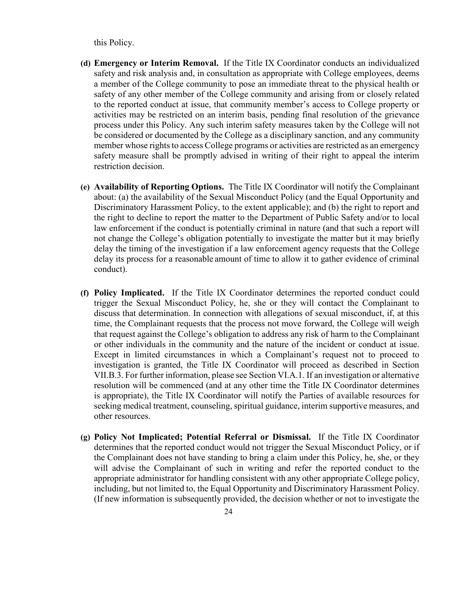this Policy.

- **(d) Emergency or Interim Removal.** If the Title IX Coordinator conducts an individualized safety and risk analysis and, in consultation as appropriate with College employees, deems a member of the College community to pose an immediate threat to the physical health or safety of any other member of the College community and arising from or closely related to the reported conduct at issue, that community member's access to College property or activities may be restricted on an interim basis, pending final resolution of the grievance process under this Policy. Any such interim safety measures taken by the College will not be considered or documented by the College as a disciplinary sanction, and any community member whose rights to access College programs or activities are restricted as an emergency safety measure shall be promptly advised in writing of their right to appeal the interim restriction decision.
- **(e) Availability of Reporting Options.** The Title IX Coordinator will notify the Complainant about: (a) the availability of the Sexual Misconduct Policy (and the Equal Opportunity and Discriminatory Harassment Policy, to the extent applicable); and (b) the right to report and the right to decline to report the matter to the Department of Public Safety and/or to local law enforcement if the conduct is potentially criminal in nature (and that such a report will not change the College's obligation potentially to investigate the matter but it may briefly delay the timing of the investigation if a law enforcement agency requests that the College delay its process for a reasonable amount of time to allow it to gather evidence of criminal conduct).
- **(f) Policy Implicated.** If the Title IX Coordinator determines the reported conduct could trigger the Sexual Misconduct Policy, he, she or they will contact the Complainant to discuss that determination. In connection with allegations of sexual misconduct, if, at this time, the Complainant requests that the process not move forward, the College will weigh that request against the College's obligation to address any risk of harm to the Complainant or other individuals in the community and the nature of the incident or conduct at issue. Except in limited circumstances in which a Complainant's request not to proceed to investigation is granted, the Title IX Coordinator will proceed as described in Section VII.B.3. For further information, please see Section VI.A.1. If an investigation or alternative resolution will be commenced (and at any other time the Title IX Coordinator determines is appropriate), the Title IX Coordinator will notify the Parties of available resources for seeking medical treatment, counseling, spiritual guidance, interim supportive measures, and other resources.
- **(g) Policy Not Implicated; Potential Referral or Dismissal.** If the Title IX Coordinator determines that the reported conduct would not trigger the Sexual Misconduct Policy, or if the Complainant does not have standing to bring a claim under this Policy, he, she, or they will advise the Complainant of such in writing and refer the reported conduct to the appropriate administrator for handling consistent with any other appropriate College policy, including, but not limited to, the Equal Opportunity and Discriminatory Harassment Policy. (If new information is subsequently provided, the decision whether or not to investigate the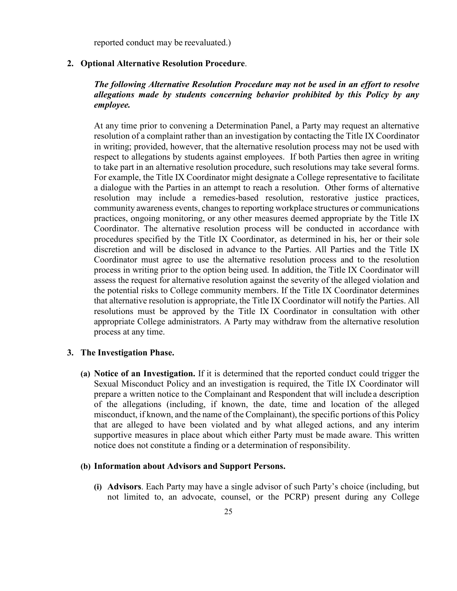reported conduct may be reevaluated.)

#### **2. Optional Alternative Resolution Procedure**.

## *The following Alternative Resolution Procedure may not be used in an effort to resolve allegations made by students concerning behavior prohibited by this Policy by any employee.*

At any time prior to convening a Determination Panel, a Party may request an alternative resolution of a complaint rather than an investigation by contacting the Title IX Coordinator in writing; provided, however, that the alternative resolution process may not be used with respect to allegations by students against employees. If both Parties then agree in writing to take part in an alternative resolution procedure, such resolutions may take several forms. For example, the Title IX Coordinator might designate a College representative to facilitate a dialogue with the Parties in an attempt to reach a resolution. Other forms of alternative resolution may include a remedies-based resolution, restorative justice practices, community awareness events, changes to reporting workplace structures or communications practices, ongoing monitoring, or any other measures deemed appropriate by the Title IX Coordinator. The alternative resolution process will be conducted in accordance with procedures specified by the Title IX Coordinator, as determined in his, her or their sole discretion and will be disclosed in advance to the Parties. All Parties and the Title IX Coordinator must agree to use the alternative resolution process and to the resolution process in writing prior to the option being used. In addition, the Title IX Coordinator will assess the request for alternative resolution against the severity of the alleged violation and the potential risks to College community members. If the Title IX Coordinator determines that alternative resolution is appropriate, the Title IX Coordinator will notify the Parties. All resolutions must be approved by the Title IX Coordinator in consultation with other appropriate College administrators. A Party may withdraw from the alternative resolution process at any time.

#### **3. The Investigation Phase.**

**(a) Notice of an Investigation.** If it is determined that the reported conduct could trigger the Sexual Misconduct Policy and an investigation is required, the Title IX Coordinator will prepare a written notice to the Complainant and Respondent that will include a description of the allegations (including, if known, the date, time and location of the alleged misconduct, if known, and the name of the Complainant), the specific portions of this Policy that are alleged to have been violated and by what alleged actions, and any interim supportive measures in place about which either Party must be made aware. This written notice does not constitute a finding or a determination of responsibility.

#### **(b) Information about Advisors and Support Persons.**

**(i) Advisors**. Each Party may have a single advisor of such Party's choice (including, but not limited to, an advocate, counsel, or the PCRP) present during any College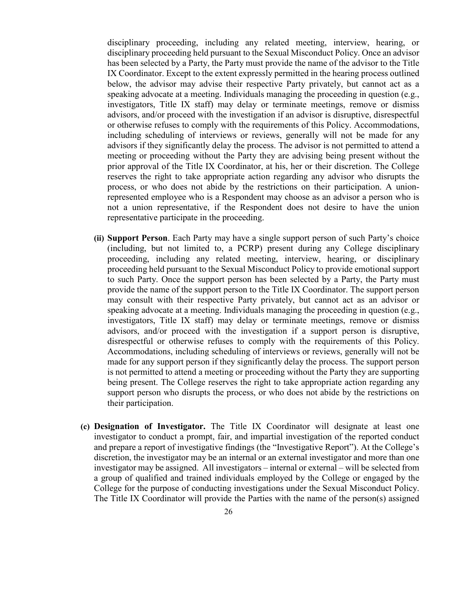disciplinary proceeding, including any related meeting, interview, hearing, or disciplinary proceeding held pursuant to the Sexual Misconduct Policy. Once an advisor has been selected by a Party, the Party must provide the name of the advisor to the Title IX Coordinator. Except to the extent expressly permitted in the hearing process outlined below, the advisor may advise their respective Party privately, but cannot act as a speaking advocate at a meeting. Individuals managing the proceeding in question (e.g., investigators, Title IX staff) may delay or terminate meetings, remove or dismiss advisors, and/or proceed with the investigation if an advisor is disruptive, disrespectful or otherwise refuses to comply with the requirements of this Policy. Accommodations, including scheduling of interviews or reviews, generally will not be made for any advisors if they significantly delay the process. The advisor is not permitted to attend a meeting or proceeding without the Party they are advising being present without the prior approval of the Title IX Coordinator, at his, her or their discretion. The College reserves the right to take appropriate action regarding any advisor who disrupts the process, or who does not abide by the restrictions on their participation. A unionrepresented employee who is a Respondent may choose as an advisor a person who is not a union representative, if the Respondent does not desire to have the union representative participate in the proceeding.

- **(ii) Support Person**. Each Party may have a single support person of such Party's choice (including, but not limited to, a PCRP) present during any College disciplinary proceeding, including any related meeting, interview, hearing, or disciplinary proceeding held pursuant to the Sexual Misconduct Policy to provide emotional support to such Party. Once the support person has been selected by a Party, the Party must provide the name of the support person to the Title IX Coordinator. The support person may consult with their respective Party privately, but cannot act as an advisor or speaking advocate at a meeting. Individuals managing the proceeding in question (e.g., investigators, Title IX staff) may delay or terminate meetings, remove or dismiss advisors, and/or proceed with the investigation if a support person is disruptive, disrespectful or otherwise refuses to comply with the requirements of this Policy. Accommodations, including scheduling of interviews or reviews, generally will not be made for any support person if they significantly delay the process. The support person is not permitted to attend a meeting or proceeding without the Party they are supporting being present. The College reserves the right to take appropriate action regarding any support person who disrupts the process, or who does not abide by the restrictions on their participation.
- **(c) Designation of Investigator.** The Title IX Coordinator will designate at least one investigator to conduct a prompt, fair, and impartial investigation of the reported conduct and prepare a report of investigative findings (the "Investigative Report"). At the College's discretion, the investigator may be an internal or an external investigator and more than one investigator may be assigned. All investigators – internal or external – will be selected from a group of qualified and trained individuals employed by the College or engaged by the College for the purpose of conducting investigations under the Sexual Misconduct Policy. The Title IX Coordinator will provide the Parties with the name of the person(s) assigned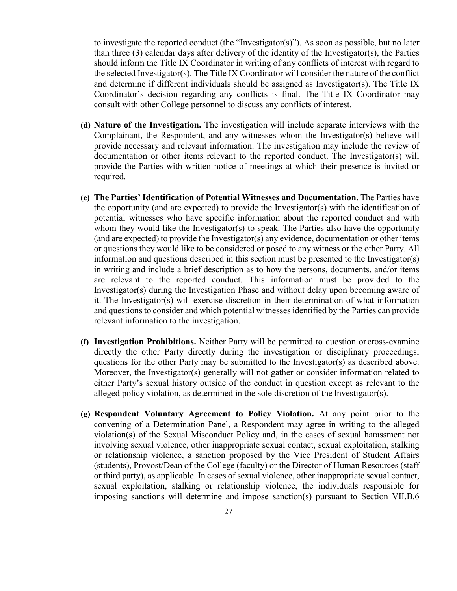to investigate the reported conduct (the "Investigator(s)"). As soon as possible, but no later than three  $(3)$  calendar days after delivery of the identity of the Investigator(s), the Parties should inform the Title IX Coordinator in writing of any conflicts of interest with regard to the selected Investigator(s). The Title IX Coordinator will consider the nature of the conflict and determine if different individuals should be assigned as Investigator(s). The Title IX Coordinator's decision regarding any conflicts is final. The Title IX Coordinator may consult with other College personnel to discuss any conflicts of interest.

- **(d) Nature of the Investigation.** The investigation will include separate interviews with the Complainant, the Respondent, and any witnesses whom the Investigator(s) believe will provide necessary and relevant information. The investigation may include the review of documentation or other items relevant to the reported conduct. The Investigator(s) will provide the Parties with written notice of meetings at which their presence is invited or required.
- **(e) The Parties' Identification of Potential Witnesses and Documentation.** The Parties have the opportunity (and are expected) to provide the Investigator(s) with the identification of potential witnesses who have specific information about the reported conduct and with whom they would like the Investigator(s) to speak. The Parties also have the opportunity (and are expected) to provide the Investigator(s) any evidence, documentation or other items or questions they would like to be considered or posed to any witness or the other Party. All information and questions described in this section must be presented to the Investigator(s) in writing and include a brief description as to how the persons, documents, and/or items are relevant to the reported conduct. This information must be provided to the Investigator(s) during the Investigation Phase and without delay upon becoming aware of it. The Investigator(s) will exercise discretion in their determination of what information and questions to consider and which potential witnesses identified by the Parties can provide relevant information to the investigation.
- **(f) Investigation Prohibitions.** Neither Party will be permitted to question or cross-examine directly the other Party directly during the investigation or disciplinary proceedings; questions for the other Party may be submitted to the Investigator(s) as described above. Moreover, the Investigator(s) generally will not gather or consider information related to either Party's sexual history outside of the conduct in question except as relevant to the alleged policy violation, as determined in the sole discretion of the Investigator(s).
- **(g) Respondent Voluntary Agreement to Policy Violation.** At any point prior to the convening of a Determination Panel, a Respondent may agree in writing to the alleged violation(s) of the Sexual Misconduct Policy and, in the cases of sexual harassment not involving sexual violence, other inappropriate sexual contact, sexual exploitation, stalking or relationship violence, a sanction proposed by the Vice President of Student Affairs (students), Provost/Dean of the College (faculty) or the Director of Human Resources (staff or third party), as applicable. In cases of sexual violence, other inappropriate sexual contact, sexual exploitation, stalking or relationship violence, the individuals responsible for imposing sanctions will determine and impose sanction(s) pursuant to Section VII.B.6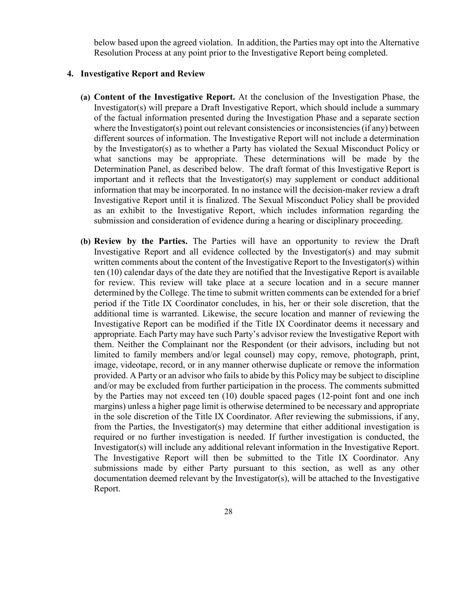below based upon the agreed violation. In addition, the Parties may opt into the Alternative Resolution Process at any point prior to the Investigative Report being completed.

## **4. Investigative Report and Review**

- **(a) Content of the Investigative Report.** At the conclusion of the Investigation Phase, the Investigator(s) will prepare a Draft Investigative Report, which should include a summary of the factual information presented during the Investigation Phase and a separate section where the Investigator(s) point out relevant consistencies or inconsistencies (if any) between different sources of information. The Investigative Report will not include a determination by the Investigator(s) as to whether a Party has violated the Sexual Misconduct Policy or what sanctions may be appropriate. These determinations will be made by the Determination Panel, as described below. The draft format of this Investigative Report is important and it reflects that the Investigator(s) may supplement or conduct additional information that may be incorporated. In no instance will the decision-maker review a draft Investigative Report until it is finalized. The Sexual Misconduct Policy shall be provided as an exhibit to the Investigative Report, which includes information regarding the submission and consideration of evidence during a hearing or disciplinary proceeding.
- **(b) Review by the Parties.** The Parties will have an opportunity to review the Draft Investigative Report and all evidence collected by the Investigator(s) and may submit written comments about the content of the Investigative Report to the Investigator(s) within ten (10) calendar days of the date they are notified that the Investigative Report is available for review. This review will take place at a secure location and in a secure manner determined by the College. The time to submit written comments can be extended for a brief period if the Title IX Coordinator concludes, in his, her or their sole discretion, that the additional time is warranted. Likewise, the secure location and manner of reviewing the Investigative Report can be modified if the Title IX Coordinator deems it necessary and appropriate. Each Party may have such Party's advisor review the Investigative Report with them. Neither the Complainant nor the Respondent (or their advisors, including but not limited to family members and/or legal counsel) may copy, remove, photograph, print, image, videotape, record, or in any manner otherwise duplicate or remove the information provided. A Party or an advisor who fails to abide by this Policy may be subject to discipline and/or may be excluded from further participation in the process. The comments submitted by the Parties may not exceed ten (10) double spaced pages (12-point font and one inch margins) unless a higher page limit is otherwise determined to be necessary and appropriate in the sole discretion of the Title IX Coordinator. After reviewing the submissions, if any, from the Parties, the Investigator(s) may determine that either additional investigation is required or no further investigation is needed. If further investigation is conducted, the Investigator(s) will include any additional relevant information in the Investigative Report. The Investigative Report will then be submitted to the Title IX Coordinator. Any submissions made by either Party pursuant to this section, as well as any other documentation deemed relevant by the Investigator(s), will be attached to the Investigative Report.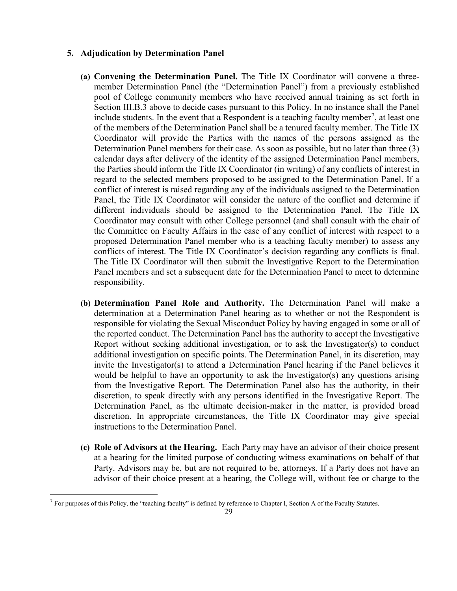### **5. Adjudication by Determination Panel**

- **(a) Convening the Determination Panel.** The Title IX Coordinator will convene a threemember Determination Panel (the "Determination Panel") from a previously established pool of College community members who have received annual training as set forth in Section III.B.3 above to decide cases pursuant to this Policy. In no instance shall the Panel include students. In the event that a Respondent is a teaching faculty member<sup>[7](#page-28-0)</sup>, at least one of the members of the Determination Panel shall be a tenured faculty member. The Title IX Coordinator will provide the Parties with the names of the persons assigned as the Determination Panel members for their case. As soon as possible, but no later than three (3) calendar days after delivery of the identity of the assigned Determination Panel members, the Parties should inform the Title IX Coordinator (in writing) of any conflicts of interest in regard to the selected members proposed to be assigned to the Determination Panel. If a conflict of interest is raised regarding any of the individuals assigned to the Determination Panel, the Title IX Coordinator will consider the nature of the conflict and determine if different individuals should be assigned to the Determination Panel. The Title IX Coordinator may consult with other College personnel (and shall consult with the chair of the Committee on Faculty Affairs in the case of any conflict of interest with respect to a proposed Determination Panel member who is a teaching faculty member) to assess any conflicts of interest. The Title IX Coordinator's decision regarding any conflicts is final. The Title IX Coordinator will then submit the Investigative Report to the Determination Panel members and set a subsequent date for the Determination Panel to meet to determine responsibility.
- **(b) Determination Panel Role and Authority.** The Determination Panel will make a determination at a Determination Panel hearing as to whether or not the Respondent is responsible for violating the Sexual Misconduct Policy by having engaged in some or all of the reported conduct. The Determination Panel has the authority to accept the Investigative Report without seeking additional investigation, or to ask the Investigator(s) to conduct additional investigation on specific points. The Determination Panel, in its discretion, may invite the Investigator(s) to attend a Determination Panel hearing if the Panel believes it would be helpful to have an opportunity to ask the Investigator(s) any questions arising from the Investigative Report. The Determination Panel also has the authority, in their discretion, to speak directly with any persons identified in the Investigative Report. The Determination Panel, as the ultimate decision-maker in the matter, is provided broad discretion. In appropriate circumstances, the Title IX Coordinator may give special instructions to the Determination Panel.
- **(c) Role of Advisors at the Hearing.** Each Party may have an advisor of their choice present at a hearing for the limited purpose of conducting witness examinations on behalf of that Party. Advisors may be, but are not required to be, attorneys. If a Party does not have an advisor of their choice present at a hearing, the College will, without fee or charge to the

<span id="page-28-0"></span> $7$  For purposes of this Policy, the "teaching faculty" is defined by reference to Chapter I, Section A of the Faculty Statutes.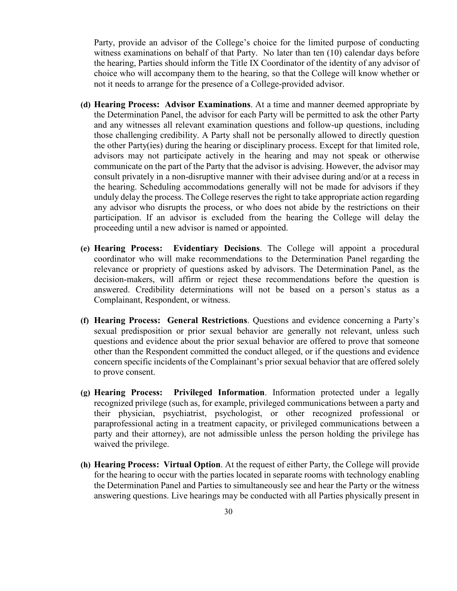Party, provide an advisor of the College's choice for the limited purpose of conducting witness examinations on behalf of that Party. No later than ten (10) calendar days before the hearing, Parties should inform the Title IX Coordinator of the identity of any advisor of choice who will accompany them to the hearing, so that the College will know whether or not it needs to arrange for the presence of a College-provided advisor.

- **(d) Hearing Process: Advisor Examinations**. At a time and manner deemed appropriate by the Determination Panel, the advisor for each Party will be permitted to ask the other Party and any witnesses all relevant examination questions and follow-up questions, including those challenging credibility. A Party shall not be personally allowed to directly question the other Party(ies) during the hearing or disciplinary process. Except for that limited role, advisors may not participate actively in the hearing and may not speak or otherwise communicate on the part of the Party that the advisor is advising. However, the advisor may consult privately in a non-disruptive manner with their advisee during and/or at a recess in the hearing. Scheduling accommodations generally will not be made for advisors if they unduly delay the process. The College reserves the right to take appropriate action regarding any advisor who disrupts the process, or who does not abide by the restrictions on their participation. If an advisor is excluded from the hearing the College will delay the proceeding until a new advisor is named or appointed.
- **(e) Hearing Process: Evidentiary Decisions**. The College will appoint a procedural coordinator who will make recommendations to the Determination Panel regarding the relevance or propriety of questions asked by advisors. The Determination Panel, as the decision-makers, will affirm or reject these recommendations before the question is answered. Credibility determinations will not be based on a person's status as a Complainant, Respondent, or witness.
- **(f) Hearing Process: General Restrictions**. Questions and evidence concerning a Party's sexual predisposition or prior sexual behavior are generally not relevant, unless such questions and evidence about the prior sexual behavior are offered to prove that someone other than the Respondent committed the conduct alleged, or if the questions and evidence concern specific incidents of the Complainant's prior sexual behavior that are offered solely to prove consent.
- **(g) Hearing Process: Privileged Information**. Information protected under a legally recognized privilege (such as, for example, privileged communications between a party and their physician, psychiatrist, psychologist, or other recognized professional or paraprofessional acting in a treatment capacity, or privileged communications between a party and their attorney), are not admissible unless the person holding the privilege has waived the privilege.
- **(h) Hearing Process: Virtual Option**. At the request of either Party, the College will provide for the hearing to occur with the parties located in separate rooms with technology enabling the Determination Panel and Parties to simultaneously see and hear the Party or the witness answering questions. Live hearings may be conducted with all Parties physically present in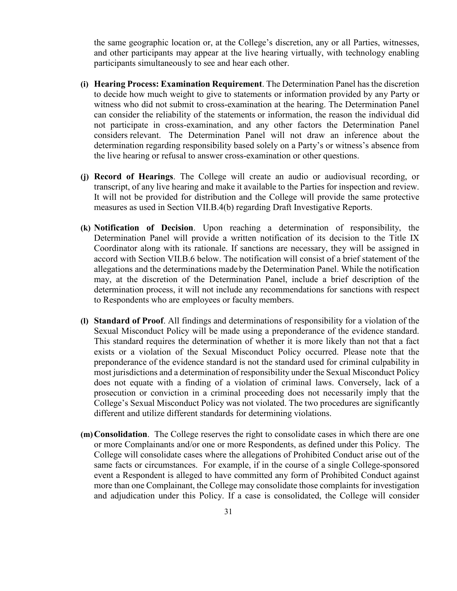the same geographic location or, at the College's discretion, any or all Parties, witnesses, and other participants may appear at the live hearing virtually, with technology enabling participants simultaneously to see and hear each other.

- **(i) Hearing Process: Examination Requirement**. The Determination Panel has the discretion to decide how much weight to give to statements or information provided by any Party or witness who did not submit to cross-examination at the hearing. The Determination Panel can consider the reliability of the statements or information, the reason the individual did not participate in cross-examination, and any other factors the Determination Panel considers relevant. The Determination Panel will not draw an inference about the determination regarding responsibility based solely on a Party's or witness's absence from the live hearing or refusal to answer cross-examination or other questions.
- **(j) Record of Hearings**. The College will create an audio or audiovisual recording, or transcript, of any live hearing and make it available to the Parties for inspection and review. It will not be provided for distribution and the College will provide the same protective measures as used in Section VII.B.4(b) regarding Draft Investigative Reports.
- **(k) Notification of Decision**. Upon reaching a determination of responsibility, the Determination Panel will provide a written notification of its decision to the Title IX Coordinator along with its rationale. If sanctions are necessary, they will be assigned in accord with Section VII.B.6 below. The notification will consist of a brief statement of the allegations and the determinations madeby the Determination Panel. While the notification may, at the discretion of the Determination Panel, include a brief description of the determination process, it will not include any recommendations for sanctions with respect to Respondents who are employees or faculty members.
- **(l) Standard of Proof**. All findings and determinations of responsibility for a violation of the Sexual Misconduct Policy will be made using a preponderance of the evidence standard. This standard requires the determination of whether it is more likely than not that a fact exists or a violation of the Sexual Misconduct Policy occurred. Please note that the preponderance of the evidence standard is not the standard used for criminal culpability in most jurisdictions and a determination of responsibility under the Sexual Misconduct Policy does not equate with a finding of a violation of criminal laws. Conversely, lack of a prosecution or conviction in a criminal proceeding does not necessarily imply that the College's Sexual Misconduct Policy was not violated. The two procedures are significantly different and utilize different standards for determining violations.
- **(m)Consolidation**. The College reserves the right to consolidate cases in which there are one or more Complainants and/or one or more Respondents, as defined under this Policy. The College will consolidate cases where the allegations of Prohibited Conduct arise out of the same facts or circumstances. For example, if in the course of a single College-sponsored event a Respondent is alleged to have committed any form of Prohibited Conduct against more than one Complainant, the College may consolidate those complaints for investigation and adjudication under this Policy. If a case is consolidated, the College will consider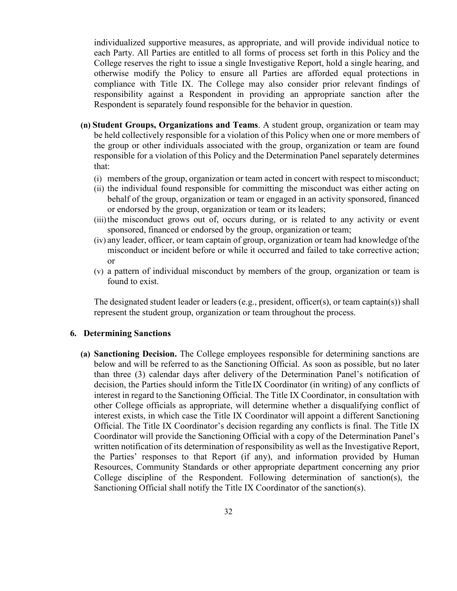individualized supportive measures, as appropriate, and will provide individual notice to each Party. All Parties are entitled to all forms of process set forth in this Policy and the College reserves the right to issue a single Investigative Report, hold a single hearing, and otherwise modify the Policy to ensure all Parties are afforded equal protections in compliance with Title IX. The College may also consider prior relevant findings of responsibility against a Respondent in providing an appropriate sanction after the Respondent is separately found responsible for the behavior in question.

- **(n) Student Groups, Organizations and Teams**. A student group, organization or team may be held collectively responsible for a violation of this Policy when one or more members of the group or other individuals associated with the group, organization or team are found responsible for a violation of this Policy and the Determination Panel separately determines that:
	- (i) members of the group, organization or team acted in concert with respect tomisconduct;
	- (ii) the individual found responsible for committing the misconduct was either acting on behalf of the group, organization or team or engaged in an activity sponsored, financed or endorsed by the group, organization or team or its leaders;
	- (iii) the misconduct grows out of, occurs during, or is related to any activity or event sponsored, financed or endorsed by the group, organization or team;
	- (iv) any leader, officer, or team captain of group, organization or team had knowledge ofthe misconduct or incident before or while it occurred and failed to take corrective action; or
	- (v) a pattern of individual misconduct by members of the group, organization or team is found to exist.

The designated student leader or leaders (e.g., president, officer(s), or team captain(s)) shall represent the student group, organization or team throughout the process.

#### **6. Determining Sanctions**

**(a) Sanctioning Decision.** The College employees responsible for determining sanctions are below and will be referred to as the Sanctioning Official. As soon as possible, but no later than three (3) calendar days after delivery of the Determination Panel's notification of decision, the Parties should inform the Title IX Coordinator (in writing) of any conflicts of interest in regard to the Sanctioning Official. The Title IX Coordinator, in consultation with other College officials as appropriate, will determine whether a disqualifying conflict of interest exists, in which case the Title IX Coordinator will appoint a different Sanctioning Official. The Title IX Coordinator's decision regarding any conflicts is final. The Title IX Coordinator will provide the Sanctioning Official with a copy of the Determination Panel's written notification of its determination of responsibility as well as the Investigative Report, the Parties' responses to that Report (if any), and information provided by Human Resources, Community Standards or other appropriate department concerning any prior College discipline of the Respondent. Following determination of sanction(s), the Sanctioning Official shall notify the Title IX Coordinator of the sanction(s).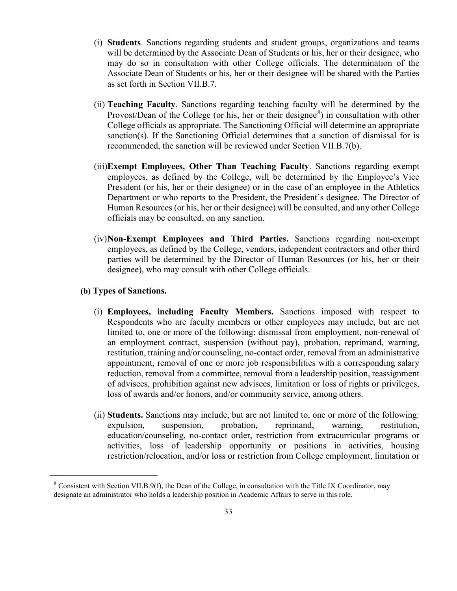- (i) **Students**. Sanctions regarding students and student groups, organizations and teams will be determined by the Associate Dean of Students or his, her or their designee, who may do so in consultation with other College officials. The determination of the Associate Dean of Students or his, her or their designee will be shared with the Parties as set forth in Section VII.B.7.
- (ii) **Teaching Faculty**. Sanctions regarding teaching faculty will be determined by the Provost/Dean of the College (or his, her or their designee $\delta$ ) in consultation with other College officials as appropriate. The Sanctioning Official will determine an appropriate sanction(s). If the Sanctioning Official determines that a sanction of dismissal for is recommended, the sanction will be reviewed under Section VII.B.7(b).
- (iii)**Exempt Employees, Other Than Teaching Faculty**. Sanctions regarding exempt employees, as defined by the College, will be determined by the Employee's Vice President (or his, her or their designee) or in the case of an employee in the Athletics Department or who reports to the President, the President's designee. The Director of Human Resources (or his, her or their designee) will be consulted, and any other College officials may be consulted, on any sanction.
- (iv)**Non-Exempt Employees and Third Parties.** Sanctions regarding non-exempt employees, as defined by the College, vendors, independent contractors and other third parties will be determined by the Director of Human Resources (or his, her or their designee), who may consult with other College officials.

### **(b) Types of Sanctions.**

- (i) **Employees, including Faculty Members.** Sanctions imposed with respect to Respondents who are faculty members or other employees may include, but are not limited to, one or more of the following: dismissal from employment, non-renewal of an employment contract, suspension (without pay), probation, reprimand, warning, restitution, training and/or counseling, no-contact order, removal from an administrative appointment, removal of one or more job responsibilities with a corresponding salary reduction, removal from a committee, removal from a leadership position, reassignment of advisees, prohibition against new advisees, limitation or loss of rights or privileges, loss of awards and/or honors, and/or community service, among others.
- (ii) **Students.** Sanctions may include, but are not limited to, one or more of the following: expulsion, suspension, probation, reprimand, warning, restitution, education/counseling, no-contact order, restriction from extracurricular programs or activities, loss of leadership opportunity or positions in activities, housing restriction/relocation, and/or loss or restriction from College employment, limitation or

<span id="page-32-0"></span> $8$  Consistent with Section VII.B.9(f), the Dean of the College, in consultation with the Title IX Coordinator, may designate an administrator who holds a leadership position in Academic Affairs to serve in this role.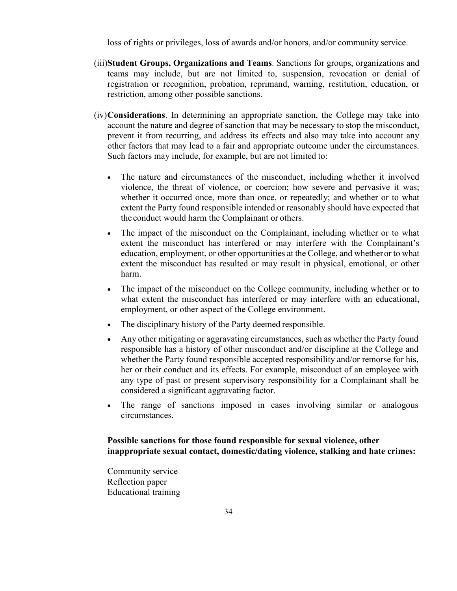loss of rights or privileges, loss of awards and/or honors, and/or community service.

- (iii)**Student Groups, Organizations and Teams**. Sanctions for groups, organizations and teams may include, but are not limited to, suspension, revocation or denial of registration or recognition, probation, reprimand, warning, restitution, education, or restriction, among other possible sanctions.
- (iv)**Considerations**. In determining an appropriate sanction, the College may take into account the nature and degree of sanction that may be necessary to stop the misconduct, prevent it from recurring, and address its effects and also may take into account any other factors that may lead to a fair and appropriate outcome under the circumstances. Such factors may include, for example, but are not limited to:
	- The nature and circumstances of the misconduct, including whether it involved violence, the threat of violence, or coercion; how severe and pervasive it was; whether it occurred once, more than once, or repeatedly; and whether or to what extent the Party found responsible intended or reasonably should have expected that the conduct would harm the Complainant or others.
	- The impact of the misconduct on the Complainant, including whether or to what extent the misconduct has interfered or may interfere with the Complainant's education, employment, or other opportunities at the College, and whetheror to what extent the misconduct has resulted or may result in physical, emotional, or other harm.
	- The impact of the misconduct on the College community, including whether or to what extent the misconduct has interfered or may interfere with an educational, employment, or other aspect of the College environment.
	- The disciplinary history of the Party deemed responsible.
	- Any other mitigating or aggravating circumstances, such as whether the Party found responsible has a history of other misconduct and/or discipline at the College and whether the Party found responsible accepted responsibility and/or remorse for his, her or their conduct and its effects. For example, misconduct of an employee with any type of past or present supervisory responsibility for a Complainant shall be considered a significant aggravating factor.
	- The range of sanctions imposed in cases involving similar or analogous circumstances.

## **Possible sanctions for those found responsible for sexual violence, other inappropriate sexual contact, domestic/dating violence, stalking and hate crimes:**

Community service Reflection paper Educational training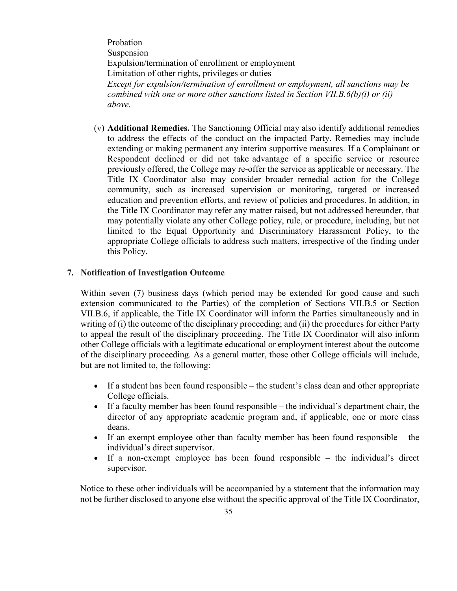Probation Suspension Expulsion/termination of enrollment or employment Limitation of other rights, privileges or duties *Except for expulsion/termination of enrollment or employment, all sanctions may be combined with one or more other sanctions listed in Section VII.B.6(b)(i) or (ii) above.*

(v) **Additional Remedies.** The Sanctioning Official may also identify additional remedies to address the effects of the conduct on the impacted Party. Remedies may include extending or making permanent any interim supportive measures. If a Complainant or Respondent declined or did not take advantage of a specific service or resource previously offered, the College may re-offer the service as applicable or necessary. The Title IX Coordinator also may consider broader remedial action for the College community, such as increased supervision or monitoring, targeted or increased education and prevention efforts, and review of policies and procedures. In addition, in the Title IX Coordinator may refer any matter raised, but not addressed hereunder, that may potentially violate any other College policy, rule, or procedure, including, but not limited to the Equal Opportunity and Discriminatory Harassment Policy, to the appropriate College officials to address such matters, irrespective of the finding under this Policy.

#### **7. Notification of Investigation Outcome**

Within seven (7) business days (which period may be extended for good cause and such extension communicated to the Parties) of the completion of Sections VII.B.5 or Section VII.B.6, if applicable, the Title IX Coordinator will inform the Parties simultaneously and in writing of (i) the outcome of the disciplinary proceeding; and (ii) the procedures for either Party to appeal the result of the disciplinary proceeding. The Title IX Coordinator will also inform other College officials with a legitimate educational or employment interest about the outcome of the disciplinary proceeding. As a general matter, those other College officials will include, but are not limited to, the following:

- If a student has been found responsible the student's class dean and other appropriate College officials.
- If a faculty member has been found responsible the individual's department chair, the director of any appropriate academic program and, if applicable, one or more class deans.
- If an exempt employee other than faculty member has been found responsible the individual's direct supervisor.
- If a non-exempt employee has been found responsible the individual's direct supervisor.

Notice to these other individuals will be accompanied by a statement that the information may not be further disclosed to anyone else without the specific approval of the Title IX Coordinator,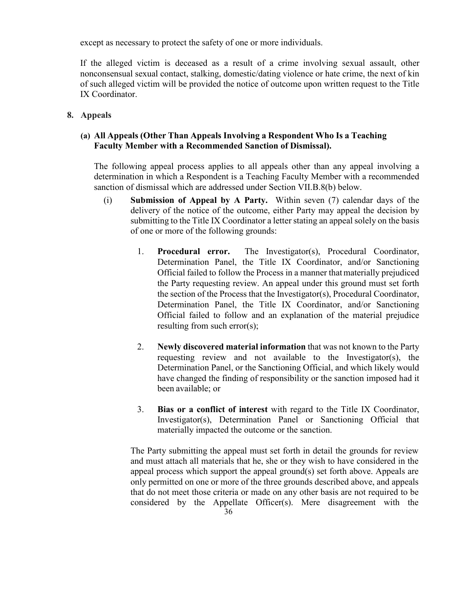except as necessary to protect the safety of one or more individuals.

If the alleged victim is deceased as a result of a crime involving sexual assault, other nonconsensual sexual contact, stalking, domestic/dating violence or hate crime, the next of kin of such alleged victim will be provided the notice of outcome upon written request to the Title IX Coordinator.

**8. Appeals**

## **(a) All Appeals (Other Than Appeals Involving a Respondent Who Is a Teaching Faculty Member with a Recommended Sanction of Dismissal).**

The following appeal process applies to all appeals other than any appeal involving a determination in which a Respondent is a Teaching Faculty Member with a recommended sanction of dismissal which are addressed under Section VII.B.8(b) below.

- (i) **Submission of Appeal by A Party.** Within seven (7) calendar days of the delivery of the notice of the outcome, either Party may appeal the decision by submitting to the Title IX Coordinator a letter stating an appeal solely on the basis of one or more of the following grounds:
	- 1. **Procedural error.** The Investigator(s), Procedural Coordinator, Determination Panel, the Title IX Coordinator, and/or Sanctioning Official failed to follow the Process in a manner thatmaterially prejudiced the Party requesting review. An appeal under this ground must set forth the section of the Process that the Investigator(s), Procedural Coordinator, Determination Panel, the Title IX Coordinator, and/or Sanctioning Official failed to follow and an explanation of the material prejudice resulting from such error(s);
	- 2. **Newly discovered material information** that was not known to the Party requesting review and not available to the Investigator(s), the Determination Panel, or the Sanctioning Official, and which likely would have changed the finding of responsibility or the sanction imposed had it been available; or
	- 3. **Bias or a conflict of interest** with regard to the Title IX Coordinator, Investigator(s), Determination Panel or Sanctioning Official that materially impacted the outcome or the sanction.

The Party submitting the appeal must set forth in detail the grounds for review and must attach all materials that he, she or they wish to have considered in the appeal process which support the appeal ground(s) set forth above. Appeals are only permitted on one or more of the three grounds described above, and appeals that do not meet those criteria or made on any other basis are not required to be considered by the Appellate Officer(s). Mere disagreement with the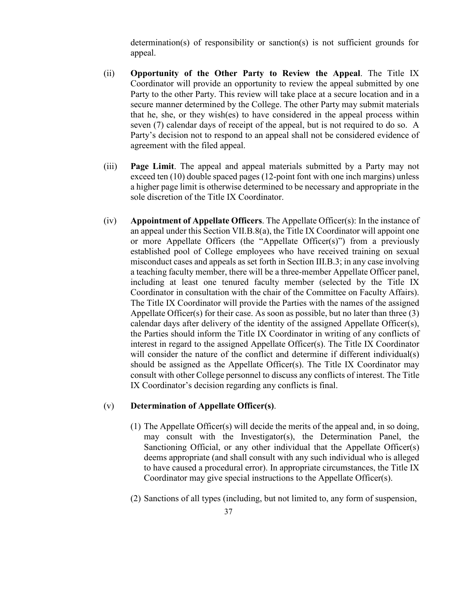determination(s) of responsibility or sanction(s) is not sufficient grounds for appeal.

- (ii) **Opportunity of the Other Party to Review the Appeal**. The Title IX Coordinator will provide an opportunity to review the appeal submitted by one Party to the other Party. This review will take place at a secure location and in a secure manner determined by the College. The other Party may submit materials that he, she, or they wish(es) to have considered in the appeal process within seven (7) calendar days of receipt of the appeal, but is not required to do so. A Party's decision not to respond to an appeal shall not be considered evidence of agreement with the filed appeal.
- (iii) **Page Limit**. The appeal and appeal materials submitted by a Party may not exceed ten (10) double spaced pages (12-point font with one inch margins) unless a higher page limit is otherwise determined to be necessary and appropriate in the sole discretion of the Title IX Coordinator.
- (iv) **Appointment of Appellate Officers**. The Appellate Officer(s): In the instance of an appeal under this Section VII.B.8(a), the Title IX Coordinator will appoint one or more Appellate Officers (the "Appellate Officer(s)") from a previously established pool of College employees who have received training on sexual misconduct cases and appeals as set forth in Section III.B.3; in any case involving a teaching faculty member, there will be a three-member Appellate Officer panel, including at least one tenured faculty member (selected by the Title IX Coordinator in consultation with the chair of the Committee on Faculty Affairs). The Title IX Coordinator will provide the Parties with the names of the assigned Appellate Officer(s) for their case. As soon as possible, but no later than three (3) calendar days after delivery of the identity of the assigned Appellate Officer(s), the Parties should inform the Title IX Coordinator in writing of any conflicts of interest in regard to the assigned Appellate Officer(s). The Title IX Coordinator will consider the nature of the conflict and determine if different individual(s) should be assigned as the Appellate Officer(s). The Title IX Coordinator may consult with other College personnel to discuss any conflicts of interest. The Title IX Coordinator's decision regarding any conflicts is final.

### (v) **Determination of Appellate Officer(s)**.

- (1) The Appellate Officer(s) will decide the merits of the appeal and, in so doing, may consult with the Investigator(s), the Determination Panel, the Sanctioning Official, or any other individual that the Appellate Officer(s) deems appropriate (and shall consult with any such individual who is alleged to have caused a procedural error). In appropriate circumstances, the Title IX Coordinator may give special instructions to the Appellate Officer(s).
- (2) Sanctions of all types (including, but not limited to, any form of suspension,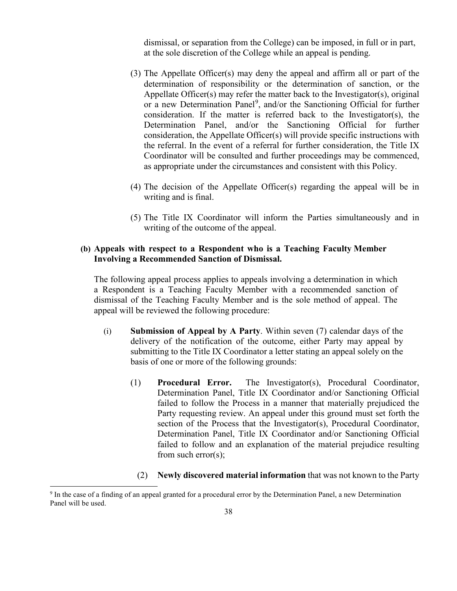dismissal, or separation from the College) can be imposed, in full or in part, at the sole discretion of the College while an appeal is pending.

- (3) The Appellate Officer(s) may deny the appeal and affirm all or part of the determination of responsibility or the determination of sanction, or the Appellate Officer(s) may refer the matter back to the Investigator(s), original or a new Determination Panel<sup>[9](#page-37-0)</sup>, and/or the Sanctioning Official for further consideration. If the matter is referred back to the Investigator(s), the Determination Panel, and/or the Sanctioning Official for further consideration, the Appellate Officer(s) will provide specific instructions with the referral. In the event of a referral for further consideration, the Title IX Coordinator will be consulted and further proceedings may be commenced, as appropriate under the circumstances and consistent with this Policy.
- (4) The decision of the Appellate Officer(s) regarding the appeal will be in writing and is final.
- (5) The Title IX Coordinator will inform the Parties simultaneously and in writing of the outcome of the appeal.

## **(b) Appeals with respect to a Respondent who is a Teaching Faculty Member Involving a Recommended Sanction of Dismissal.**

The following appeal process applies to appeals involving a determination in which a Respondent is a Teaching Faculty Member with a recommended sanction of dismissal of the Teaching Faculty Member and is the sole method of appeal. The appeal will be reviewed the following procedure:

- (i) **Submission of Appeal by A Party**. Within seven (7) calendar days of the delivery of the notification of the outcome, either Party may appeal by submitting to the Title IX Coordinator a letter stating an appeal solely on the basis of one or more of the following grounds:
	- (1) **Procedural Error.** The Investigator(s), Procedural Coordinator, Determination Panel, Title IX Coordinator and/or Sanctioning Official failed to follow the Process in a manner that materially prejudiced the Party requesting review. An appeal under this ground must set forth the section of the Process that the Investigator(s), Procedural Coordinator, Determination Panel, Title IX Coordinator and/or Sanctioning Official failed to follow and an explanation of the material prejudice resulting from such error(s);
		- (2) **Newly discovered material information** that was not known to the Party

<span id="page-37-0"></span> <sup>9</sup> In the case of a finding of an appeal granted for a procedural error by the Determination Panel, a new Determination Panel will be used.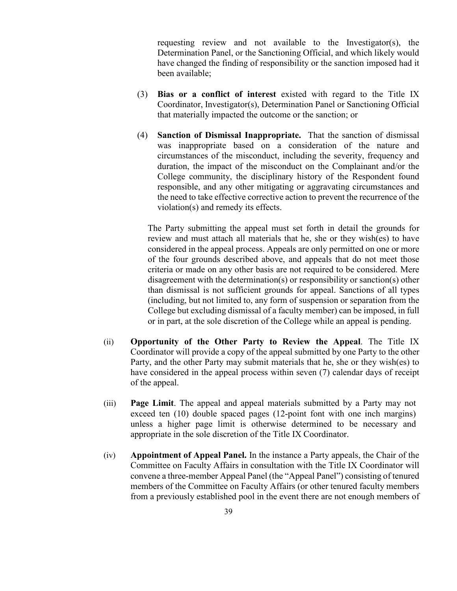requesting review and not available to the Investigator(s), the Determination Panel, or the Sanctioning Official, and which likely would have changed the finding of responsibility or the sanction imposed had it been available;

- (3) **Bias or a conflict of interest** existed with regard to the Title IX Coordinator, Investigator(s), Determination Panel or Sanctioning Official that materially impacted the outcome or the sanction; or
- (4) **Sanction of Dismissal Inappropriate.** That the sanction of dismissal was inappropriate based on a consideration of the nature and circumstances of the misconduct, including the severity, frequency and duration, the impact of the misconduct on the Complainant and/or the College community, the disciplinary history of the Respondent found responsible, and any other mitigating or aggravating circumstances and the need to take effective corrective action to prevent the recurrence of the violation(s) and remedy its effects.

The Party submitting the appeal must set forth in detail the grounds for review and must attach all materials that he, she or they wish(es) to have considered in the appeal process. Appeals are only permitted on one or more of the four grounds described above, and appeals that do not meet those criteria or made on any other basis are not required to be considered. Mere disagreement with the determination(s) or responsibility or sanction(s) other than dismissal is not sufficient grounds for appeal. Sanctions of all types (including, but not limited to, any form of suspension or separation from the College but excluding dismissal of a faculty member) can be imposed, in full or in part, at the sole discretion of the College while an appeal is pending.

- (ii) **Opportunity of the Other Party to Review the Appeal**. The Title IX Coordinator will provide a copy of the appeal submitted by one Party to the other Party, and the other Party may submit materials that he, she or they wish(es) to have considered in the appeal process within seven (7) calendar days of receipt of the appeal.
- (iii) **Page Limit**. The appeal and appeal materials submitted by a Party may not exceed ten (10) double spaced pages (12-point font with one inch margins) unless a higher page limit is otherwise determined to be necessary and appropriate in the sole discretion of the Title IX Coordinator.
- (iv) **Appointment of Appeal Panel.** In the instance a Party appeals, the Chair of the Committee on Faculty Affairs in consultation with the Title IX Coordinator will convene a three-member Appeal Panel (the "Appeal Panel") consisting of tenured members of the Committee on Faculty Affairs (or other tenured faculty members from a previously established pool in the event there are not enough members of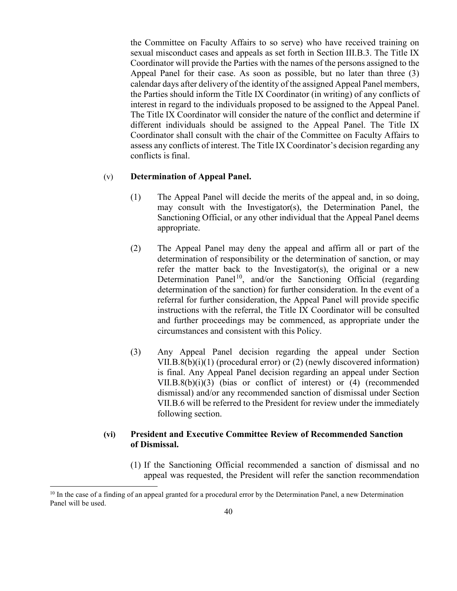the Committee on Faculty Affairs to so serve) who have received training on sexual misconduct cases and appeals as set forth in Section III.B.3. The Title IX Coordinator will provide the Parties with the names of the persons assigned to the Appeal Panel for their case. As soon as possible, but no later than three (3) calendar days after delivery of the identity of the assigned Appeal Panel members, the Parties should inform the Title IX Coordinator (in writing) of any conflicts of interest in regard to the individuals proposed to be assigned to the Appeal Panel. The Title IX Coordinator will consider the nature of the conflict and determine if different individuals should be assigned to the Appeal Panel. The Title IX Coordinator shall consult with the chair of the Committee on Faculty Affairs to assess any conflicts of interest. The Title IX Coordinator's decision regarding any conflicts is final.

### (v) **Determination of Appeal Panel.**

- (1) The Appeal Panel will decide the merits of the appeal and, in so doing, may consult with the Investigator(s), the Determination Panel, the Sanctioning Official, or any other individual that the Appeal Panel deems appropriate.
- (2) The Appeal Panel may deny the appeal and affirm all or part of the determination of responsibility or the determination of sanction, or may refer the matter back to the Investigator(s), the original or a new Determination Panel<sup>10</sup>, and/or the Sanctioning Official (regarding determination of the sanction) for further consideration. In the event of a referral for further consideration, the Appeal Panel will provide specific instructions with the referral, the Title IX Coordinator will be consulted and further proceedings may be commenced, as appropriate under the circumstances and consistent with this Policy.
- (3) Any Appeal Panel decision regarding the appeal under Section VII.B.8(b)(i)(1) (procedural error) or (2) (newly discovered information) is final. Any Appeal Panel decision regarding an appeal under Section VII.B.8(b)(i)(3) (bias or conflict of interest) or (4) (recommended dismissal) and/or any recommended sanction of dismissal under Section VII.B.6 will be referred to the President for review under the immediately following section.

## **(vi) President and Executive Committee Review of Recommended Sanction of Dismissal.**

(1) If the Sanctioning Official recommended a sanction of dismissal and no appeal was requested, the President will refer the sanction recommendation

<span id="page-39-0"></span> $10$  In the case of a finding of an appeal granted for a procedural error by the Determination Panel, a new Determination Panel will be used.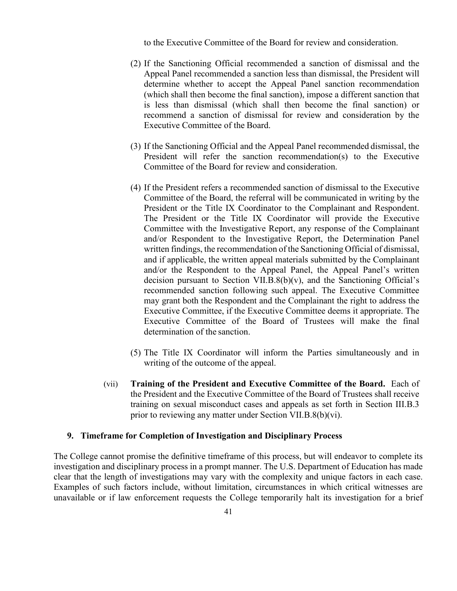to the Executive Committee of the Board for review and consideration.

- (2) If the Sanctioning Official recommended a sanction of dismissal and the Appeal Panel recommended a sanction less than dismissal, the President will determine whether to accept the Appeal Panel sanction recommendation (which shall then become the final sanction), impose a different sanction that is less than dismissal (which shall then become the final sanction) or recommend a sanction of dismissal for review and consideration by the Executive Committee of the Board.
- (3) If the Sanctioning Official and the Appeal Panel recommended dismissal, the President will refer the sanction recommendation(s) to the Executive Committee of the Board for review and consideration.
- (4) If the President refers a recommended sanction of dismissal to the Executive Committee of the Board, the referral will be communicated in writing by the President or the Title IX Coordinator to the Complainant and Respondent. The President or the Title IX Coordinator will provide the Executive Committee with the Investigative Report, any response of the Complainant and/or Respondent to the Investigative Report, the Determination Panel written findings, the recommendation of the Sanctioning Official of dismissal, and if applicable, the written appeal materials submitted by the Complainant and/or the Respondent to the Appeal Panel, the Appeal Panel's written decision pursuant to Section VII.B. $8(b)(v)$ , and the Sanctioning Official's recommended sanction following such appeal. The Executive Committee may grant both the Respondent and the Complainant the right to address the Executive Committee, if the Executive Committee deems it appropriate. The Executive Committee of the Board of Trustees will make the final determination of the sanction.
- (5) The Title IX Coordinator will inform the Parties simultaneously and in writing of the outcome of the appeal.
- (vii) **Training of the President and Executive Committee of the Board.** Each of the President and the Executive Committee of the Board of Trustees shall receive training on sexual misconduct cases and appeals as set forth in Section III.B.3 prior to reviewing any matter under Section VII.B.8(b)(vi).

#### **9. Timeframe for Completion of Investigation and Disciplinary Process**

The College cannot promise the definitive timeframe of this process, but will endeavor to complete its investigation and disciplinary process in a prompt manner. The U.S. Department of Education has made clear that the length of investigations may vary with the complexity and unique factors in each case. Examples of such factors include, without limitation, circumstances in which critical witnesses are unavailable or if law enforcement requests the College temporarily halt its investigation for a brief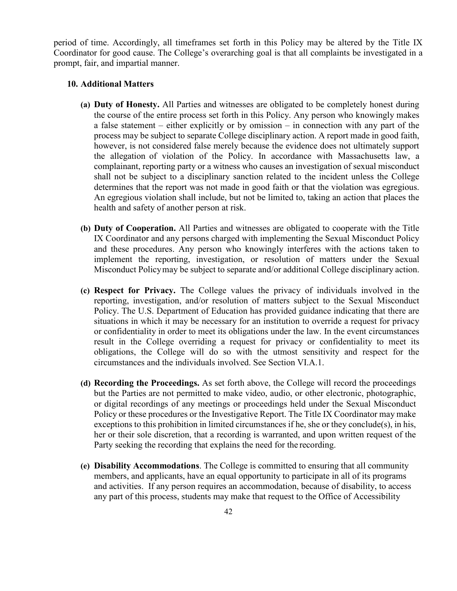period of time. Accordingly, all timeframes set forth in this Policy may be altered by the Title IX Coordinator for good cause. The College's overarching goal is that all complaints be investigated in a prompt, fair, and impartial manner.

#### **10. Additional Matters**

- **(a) Duty of Honesty.** All Parties and witnesses are obligated to be completely honest during the course of the entire process set forth in this Policy. Any person who knowingly makes a false statement – either explicitly or by omission – in connection with any part of the process may be subject to separate College disciplinary action. A report made in good faith, however, is not considered false merely because the evidence does not ultimately support the allegation of violation of the Policy. In accordance with Massachusetts law, a complainant, reporting party or a witness who causes an investigation of sexual misconduct shall not be subject to a disciplinary sanction related to the incident unless the College determines that the report was not made in good faith or that the violation was egregious. An egregious violation shall include, but not be limited to, taking an action that places the health and safety of another person at risk.
- **(b) Duty of Cooperation.** All Parties and witnesses are obligated to cooperate with the Title IX Coordinator and any persons charged with implementing the Sexual Misconduct Policy and these procedures. Any person who knowingly interferes with the actions taken to implement the reporting, investigation, or resolution of matters under the Sexual Misconduct Policymay be subject to separate and/or additional College disciplinary action.
- **(c) Respect for Privacy.** The College values the privacy of individuals involved in the reporting, investigation, and/or resolution of matters subject to the Sexual Misconduct Policy. The U.S. Department of Education has provided guidance indicating that there are situations in which it may be necessary for an institution to override a request for privacy or confidentiality in order to meet its obligations under the law. In the event circumstances result in the College overriding a request for privacy or confidentiality to meet its obligations, the College will do so with the utmost sensitivity and respect for the circumstances and the individuals involved. See Section VI.A.1.
- **(d) Recording the Proceedings.** As set forth above, the College will record the proceedings but the Parties are not permitted to make video, audio, or other electronic, photographic, or digital recordings of any meetings or proceedings held under the Sexual Misconduct Policy or these procedures or the Investigative Report. The Title IX Coordinator may make exceptions to this prohibition in limited circumstances if he, she or they conclude(s), in his, her or their sole discretion, that a recording is warranted, and upon written request of the Party seeking the recording that explains the need for the recording.
- **(e) Disability Accommodations**. The College is committed to ensuring that all community members, and applicants, have an equal opportunity to participate in all of its programs and activities. If any person requires an accommodation, because of disability, to access any part of this process, students may make that request to the Office of Accessibility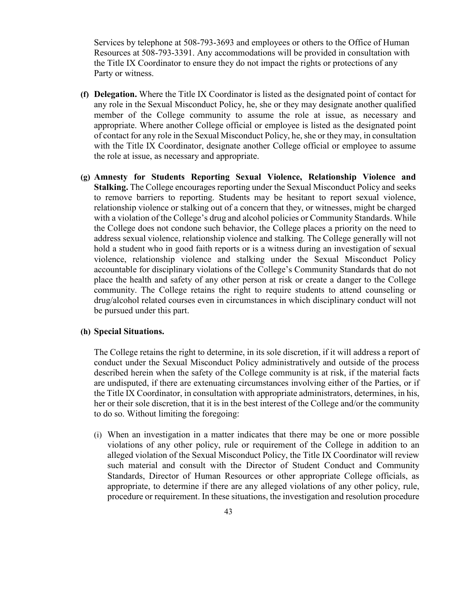Services by telephone at 508-793-3693 and employees or others to the Office of Human Resources at 508-793-3391. Any accommodations will be provided in consultation with the Title IX Coordinator to ensure they do not impact the rights or protections of any Party or witness.

- **(f) Delegation.** Where the Title IX Coordinator is listed as the designated point of contact for any role in the Sexual Misconduct Policy, he, she or they may designate another qualified member of the College community to assume the role at issue, as necessary and appropriate. Where another College official or employee is listed as the designated point of contact for any role in the Sexual Misconduct Policy, he, she or they may, in consultation with the Title IX Coordinator, designate another College official or employee to assume the role at issue, as necessary and appropriate.
- **(g) Amnesty for Students Reporting Sexual Violence, Relationship Violence and Stalking.** The College encourages reporting under the Sexual Misconduct Policy and seeks to remove barriers to reporting. Students may be hesitant to report sexual violence, relationship violence or stalking out of a concern that they, or witnesses, might be charged with a violation of the College's drug and alcohol policies or Community Standards. While the College does not condone such behavior, the College places a priority on the need to address sexual violence, relationship violence and stalking. The College generally will not hold a student who in good faith reports or is a witness during an investigation of sexual violence, relationship violence and stalking under the Sexual Misconduct Policy accountable for disciplinary violations of the College's Community Standards that do not place the health and safety of any other person at risk or create a danger to the College community. The College retains the right to require students to attend counseling or drug/alcohol related courses even in circumstances in which disciplinary conduct will not be pursued under this part.

### **(h) Special Situations.**

The College retains the right to determine, in its sole discretion, if it will address a report of conduct under the Sexual Misconduct Policy administratively and outside of the process described herein when the safety of the College community is at risk, if the material facts are undisputed, if there are extenuating circumstances involving either of the Parties, or if the Title IX Coordinator, in consultation with appropriate administrators, determines, in his, her or their sole discretion, that it is in the best interest of the College and/or the community to do so. Without limiting the foregoing:

(i) When an investigation in a matter indicates that there may be one or more possible violations of any other policy, rule or requirement of the College in addition to an alleged violation of the Sexual Misconduct Policy, the Title IX Coordinator will review such material and consult with the Director of Student Conduct and Community Standards, Director of Human Resources or other appropriate College officials, as appropriate, to determine if there are any alleged violations of any other policy, rule, procedure or requirement. In these situations, the investigation and resolution procedure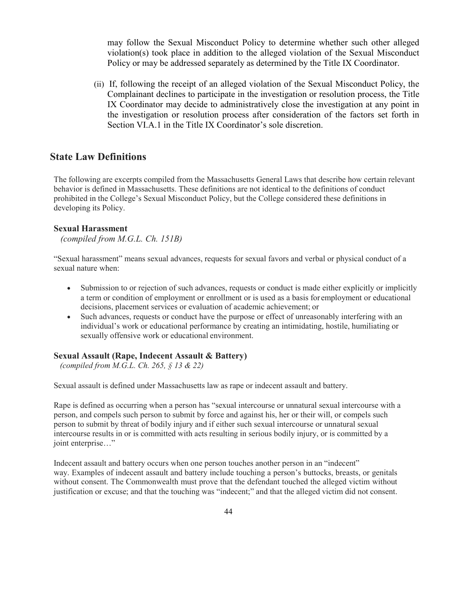may follow the Sexual Misconduct Policy to determine whether such other alleged violation(s) took place in addition to the alleged violation of the Sexual Misconduct Policy or may be addressed separately as determined by the Title IX Coordinator.

(ii) If, following the receipt of an alleged violation of the Sexual Misconduct Policy, the Complainant declines to participate in the investigation or resolution process, the Title IX Coordinator may decide to administratively close the investigation at any point in the investigation or resolution process after consideration of the factors set forth in Section VI.A.1 in the Title IX Coordinator's sole discretion.

## **State Law Definitions**

The following are excerpts compiled from the Massachusetts General Laws that describe how certain relevant behavior is defined in Massachusetts. These definitions are not identical to the definitions of conduct prohibited in the College's Sexual Misconduct Policy, but the College considered these definitions in developing its Policy.

#### **Sexual Harassment**

*(compiled from M.G.L. Ch. 151B)*

"Sexual harassment" means sexual advances, requests for sexual favors and verbal or physical conduct of a sexual nature when:

- Submission to or rejection of such advances, requests or conduct is made either explicitly or implicitly a term or condition of employment or enrollment or is used as a basis for employment or educational decisions, placement services or evaluation of academic achievement; or
- Such advances, requests or conduct have the purpose or effect of unreasonably interfering with an individual's work or educational performance by creating an intimidating, hostile, humiliating or sexually offensive work or educational environment.

#### **Sexual Assault (Rape, Indecent Assault & Battery)**

*(compiled from M.G.L. Ch. 265, § 13 & 22)*

Sexual assault is defined under Massachusetts law as rape or indecent assault and battery.

Rape is defined as occurring when a person has "sexual intercourse or unnatural sexual intercourse with a person, and compels such person to submit by force and against his, her or their will, or compels such person to submit by threat of bodily injury and if either such sexual intercourse or unnatural sexual intercourse results in or is committed with acts resulting in serious bodily injury, or is committed by a joint enterprise…"

Indecent assault and battery occurs when one person touches another person in an "indecent" way. Examples of indecent assault and battery include touching a person's buttocks, breasts, or genitals without consent. The Commonwealth must prove that the defendant touched the alleged victim without justification or excuse; and that the touching was "indecent;" and that the alleged victim did not consent.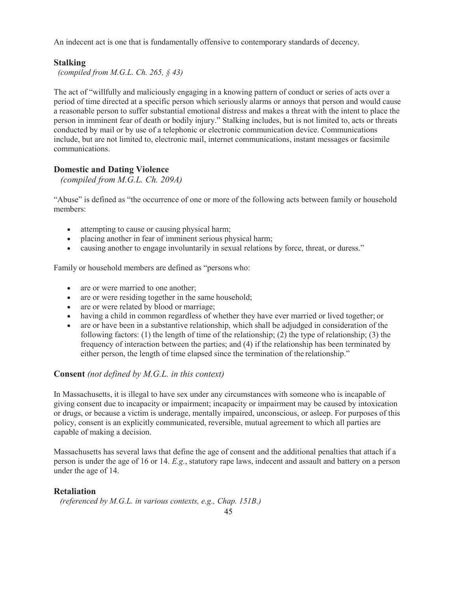An indecent act is one that is fundamentally offensive to contemporary standards of decency.

## **Stalking**

*(compiled from M.G.L. Ch. 265, § 43)*

The act of "willfully and maliciously engaging in a knowing pattern of conduct or series of acts over a period of time directed at a specific person which seriously alarms or annoys that person and would cause a reasonable person to suffer substantial emotional distress and makes a threat with the intent to place the person in imminent fear of death or bodily injury." Stalking includes, but is not limited to, acts or threats conducted by mail or by use of a telephonic or electronic communication device. Communications include, but are not limited to, electronic mail, internet communications, instant messages or facsimile communications.

### **Domestic and Dating Violence**

*(compiled from M.G.L. Ch. 209A)*

"Abuse" is defined as "the occurrence of one or more of the following acts between family or household members:

- attempting to cause or causing physical harm;
- placing another in fear of imminent serious physical harm;
- causing another to engage involuntarily in sexual relations by force, threat, or duress."

Family or household members are defined as "persons who:

- are or were married to one another;
- are or were residing together in the same household;
- are or were related by blood or marriage;
- having a child in common regardless of whether they have ever married or lived together; or
- are or have been in a substantive relationship, which shall be adjudged in consideration of the following factors: (1) the length of time of the relationship; (2) the type of relationship; (3) the frequency of interaction between the parties; and (4) if the relationship has been terminated by either person, the length of time elapsed since the termination of the relationship."

#### **Consent** *(not defined by M.G.L. in this context)*

In Massachusetts, it is illegal to have sex under any circumstances with someone who is incapable of giving consent due to incapacity or impairment; incapacity or impairment may be caused by intoxication or drugs, or because a victim is underage, mentally impaired, unconscious, or asleep. For purposes of this policy, consent is an explicitly communicated, reversible, mutual agreement to which all parties are capable of making a decision.

Massachusetts has several laws that define the age of consent and the additional penalties that attach if a person is under the age of 16 or 14. *E.g.*, statutory rape laws, indecent and assault and battery on a person under the age of 14.

#### **Retaliation**

*(referenced by M.G.L. in various contexts, e.g., Chap. 151B.)*